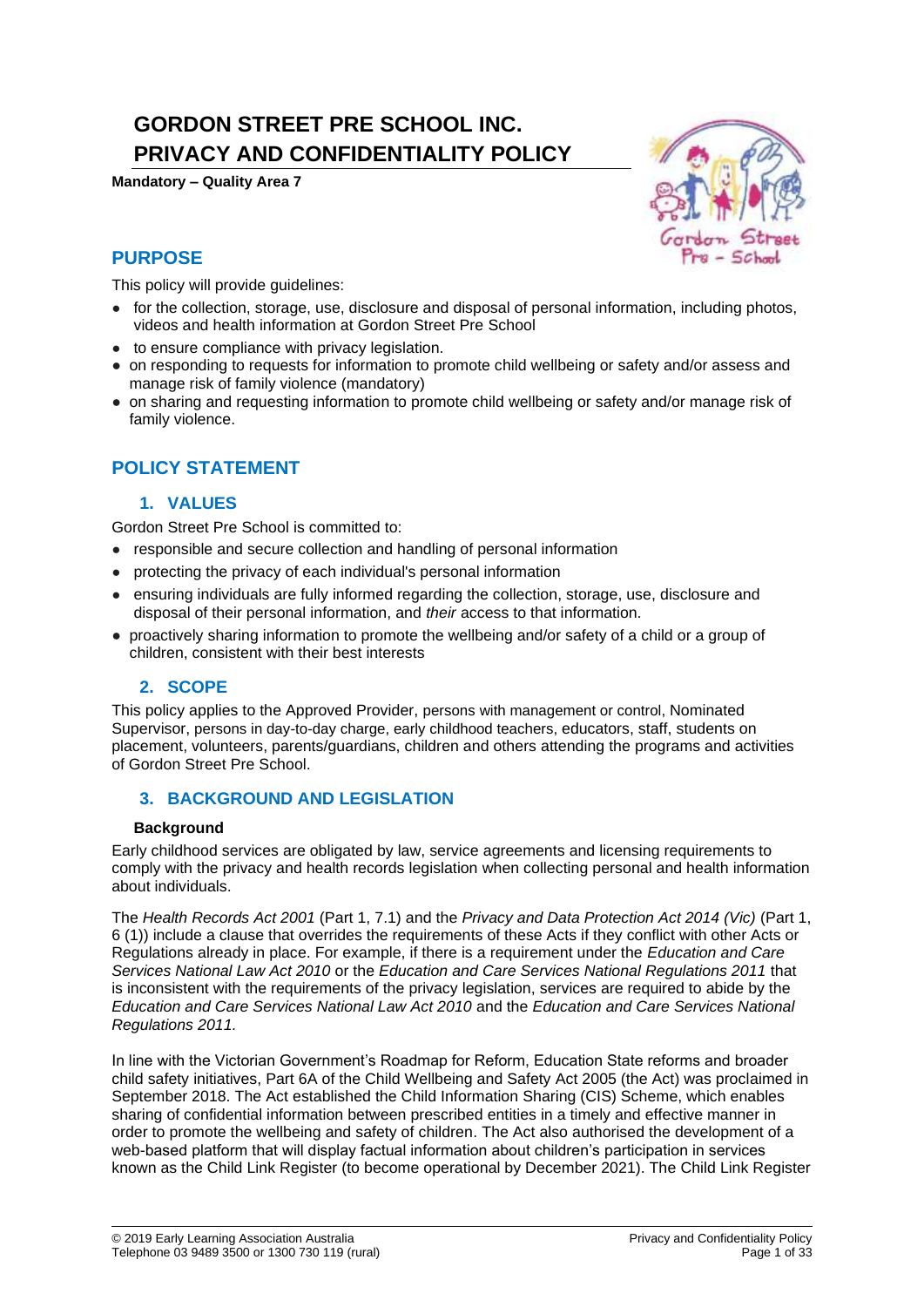# **GORDON STREET PRE SCHOOL INC. PRIVACY AND CONFIDENTIALITY POLICY**

**Mandatory – Quality Area 7**



## **PURPOSE**

This policy will provide quidelines:

- for the collection, storage, use, disclosure and disposal of personal information, including photos, videos and health information at Gordon Street Pre School
- to ensure compliance with privacy legislation.
- on responding to requests for information to promote child wellbeing or safety and/or assess and manage risk of family violence (mandatory)
- on sharing and requesting information to promote child wellbeing or safety and/or manage risk of family violence.

## **POLICY STATEMENT**

## **1. VALUES**

Gordon Street Pre School is committed to:

- responsible and secure collection and handling of personal information
- protecting the privacy of each individual's personal information
- ensuring individuals are fully informed regarding the collection, storage, use, disclosure and disposal of their personal information, and *their* access to that information.
- proactively sharing information to promote the wellbeing and/or safety of a child or a group of children, consistent with their best interests

## **2. SCOPE**

This policy applies to the Approved Provider, persons with management or control, Nominated Supervisor, persons in day-to-day charge, early childhood teachers, educators, staff, students on placement, volunteers, parents/guardians, children and others attending the programs and activities of Gordon Street Pre School.

## **3. BACKGROUND AND LEGISLATION**

#### **Background**

Early childhood services are obligated by law, service agreements and licensing requirements to comply with the privacy and health records legislation when collecting personal and health information about individuals.

The *Health Records Act 2001* (Part 1, 7.1) and the *Privacy and Data Protection Act 2014 (Vic)* (Part 1, 6 (1)) include a clause that overrides the requirements of these Acts if they conflict with other Acts or Regulations already in place. For example, if there is a requirement under the *Education and Care Services National Law Act 2010* or the *Education and Care Services National Regulations 2011* that is inconsistent with the requirements of the privacy legislation, services are required to abide by the *Education and Care Services National Law Act 2010* and the *Education and Care Services National Regulations 2011.*

In line with the Victorian Government's Roadmap for Reform, Education State reforms and broader child safety initiatives, Part 6A of the Child Wellbeing and Safety Act 2005 (the Act) was proclaimed in September 2018. The Act established the Child Information Sharing (CIS) Scheme, which enables sharing of confidential information between prescribed entities in a timely and effective manner in order to promote the wellbeing and safety of children. The Act also authorised the development of a web-based platform that will display factual information about children's participation in services known as the Child Link Register (to become operational by December 2021). The Child Link Register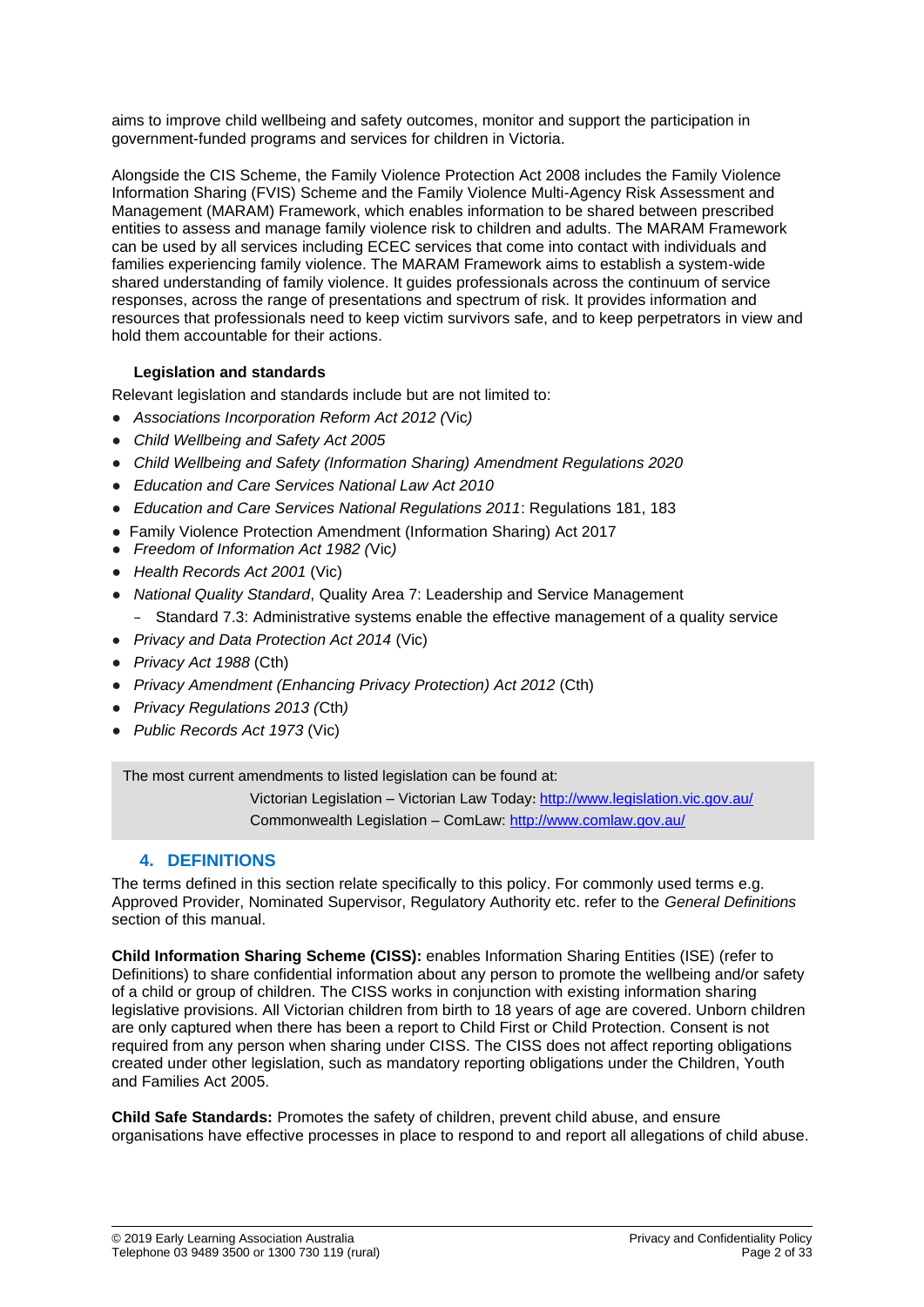aims to improve child wellbeing and safety outcomes, monitor and support the participation in government-funded programs and services for children in Victoria.

Alongside the CIS Scheme, the Family Violence Protection Act 2008 includes the Family Violence Information Sharing (FVIS) Scheme and the Family Violence Multi-Agency Risk Assessment and Management (MARAM) Framework, which enables information to be shared between prescribed entities to assess and manage family violence risk to children and adults. The MARAM Framework can be used by all services including ECEC services that come into contact with individuals and families experiencing family violence. The MARAM Framework aims to establish a system-wide shared understanding of family violence. It guides professionals across the continuum of service responses, across the range of presentations and spectrum of risk. It provides information and resources that professionals need to keep victim survivors safe, and to keep perpetrators in view and hold them accountable for their actions.

## **Legislation and standards**

Relevant legislation and standards include but are not limited to:

- *Associations Incorporation Reform Act 2012 (*Vic*)*
- *Child Wellbeing and Safety Act 2005*
- *Child Wellbeing and Safety (Information Sharing) Amendment Regulations 2020*
- *Education and Care Services National Law Act 2010*
- *Education and Care Services National Regulations 2011*: Regulations 181, 183
- Family Violence Protection Amendment (Information Sharing) Act 2017
- *Freedom of Information Act 1982 (*Vic*)*
- *Health Records Act 2001* (Vic)
- *National Quality Standard*, Quality Area 7: Leadership and Service Management − Standard 7.3: Administrative systems enable the effective management of a quality service
- *Privacy and Data Protection Act 2014* (Vic)
- *Privacy Act 1988* (Cth)
- *Privacy Amendment (Enhancing Privacy Protection) Act 2012* (Cth)
- *Privacy Regulations 2013 (*Cth*)*
- *Public Records Act 1973* (Vic)

The most current amendments to listed legislation can be found at:

Victorian Legislation – Victorian Law Today: http://www.legislation.vic.gov.au/ Commonwealth Legislation – ComLaw: http://www.comlaw.gov.au/

## **4. DEFINITIONS**

The terms defined in this section relate specifically to this policy. For commonly used terms e.g. Approved Provider, Nominated Supervisor, Regulatory Authority etc. refer to the *General Definitions* section of this manual.

**Child Information Sharing Scheme (CISS):** enables Information Sharing Entities (ISE) (refer to Definitions) to share confidential information about any person to promote the wellbeing and/or safety of a child or group of children. The CISS works in conjunction with existing information sharing legislative provisions. All Victorian children from birth to 18 years of age are covered. Unborn children are only captured when there has been a report to Child First or Child Protection. Consent is not required from any person when sharing under CISS. The CISS does not affect reporting obligations created under other legislation, such as mandatory reporting obligations under the Children, Youth and Families Act 2005.

**Child Safe Standards:** Promotes the safety of children, prevent child abuse, and ensure organisations have effective processes in place to respond to and report all allegations of child abuse.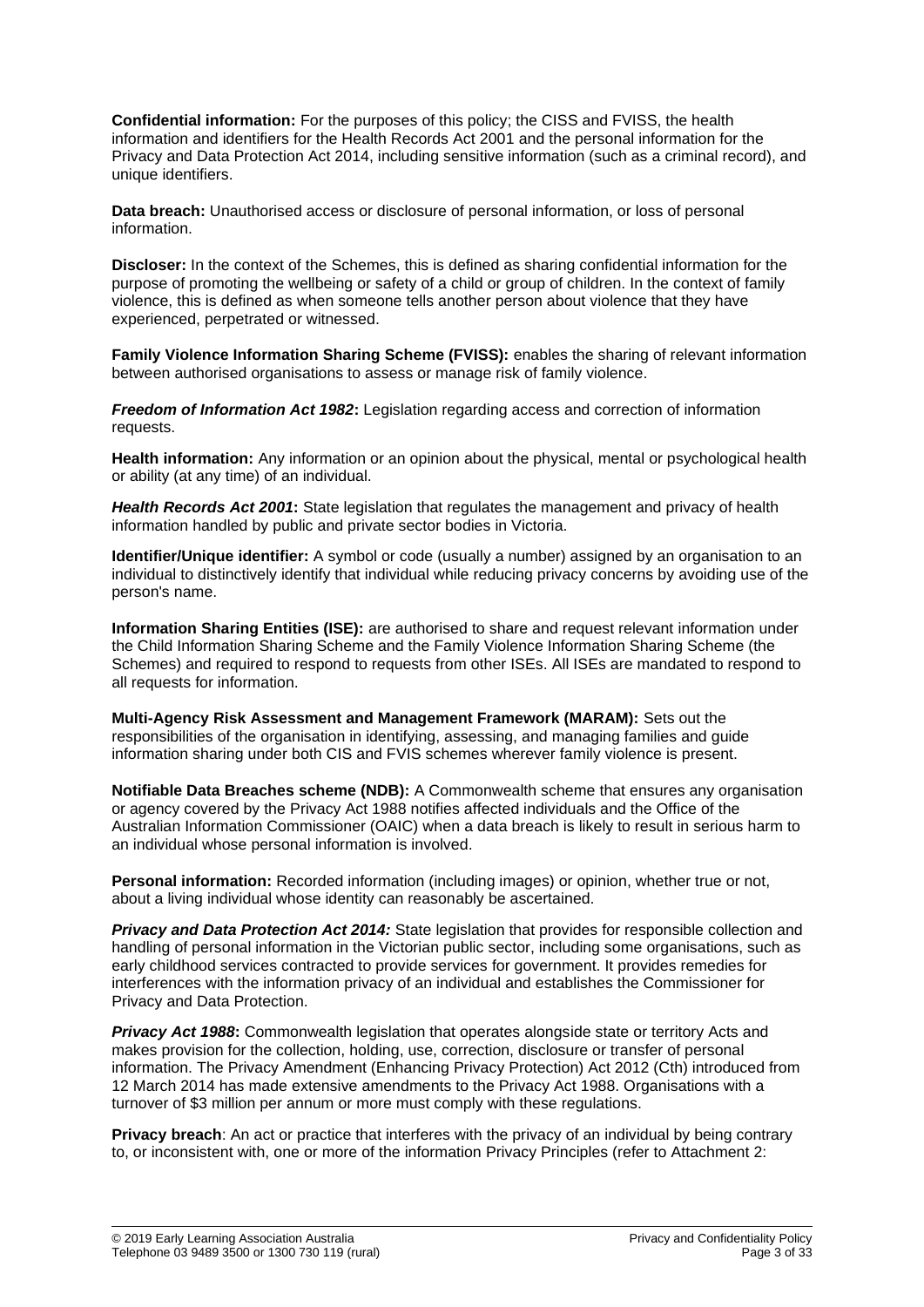**Confidential information:** For the purposes of this policy; the CISS and FVISS, the health information and identifiers for the Health Records Act 2001 and the personal information for the Privacy and Data Protection Act 2014, including sensitive information (such as a criminal record), and unique identifiers.

**Data breach:** Unauthorised access or disclosure of personal information, or loss of personal information.

**Discloser:** In the context of the Schemes, this is defined as sharing confidential information for the purpose of promoting the wellbeing or safety of a child or group of children. In the context of family violence, this is defined as when someone tells another person about violence that they have experienced, perpetrated or witnessed.

**Family Violence Information Sharing Scheme (FVISS):** enables the sharing of relevant information between authorised organisations to assess or manage risk of family violence.

*Freedom of Information Act 1982***:** Legislation regarding access and correction of information requests.

**Health information:** Any information or an opinion about the physical, mental or psychological health or ability (at any time) of an individual.

*Health Records Act 2001***:** State legislation that regulates the management and privacy of health information handled by public and private sector bodies in Victoria.

**Identifier/Unique identifier:** A symbol or code (usually a number) assigned by an organisation to an individual to distinctively identify that individual while reducing privacy concerns by avoiding use of the person's name.

**Information Sharing Entities (ISE):** are authorised to share and request relevant information under the Child Information Sharing Scheme and the Family Violence Information Sharing Scheme (the Schemes) and required to respond to requests from other ISEs. All ISEs are mandated to respond to all requests for information.

**Multi-Agency Risk Assessment and Management Framework (MARAM):** Sets out the responsibilities of the organisation in identifying, assessing, and managing families and guide information sharing under both CIS and FVIS schemes wherever family violence is present.

**Notifiable Data Breaches scheme (NDB):** A Commonwealth scheme that ensures any organisation or agency covered by the Privacy Act 1988 notifies affected individuals and the Office of the Australian Information Commissioner (OAIC) when a data breach is likely to result in serious harm to an individual whose personal information is involved.

**Personal information:** Recorded information (including images) or opinion, whether true or not, about a living individual whose identity can reasonably be ascertained.

*Privacy and Data Protection Act 2014:* State legislation that provides for responsible collection and handling of personal information in the Victorian public sector, including some organisations, such as early childhood services contracted to provide services for government. It provides remedies for interferences with the information privacy of an individual and establishes the Commissioner for Privacy and Data Protection.

*Privacy Act 1988:* Commonwealth legislation that operates alongside state or territory Acts and makes provision for the collection, holding, use, correction, disclosure or transfer of personal information. The Privacy Amendment (Enhancing Privacy Protection) Act 2012 (Cth) introduced from 12 March 2014 has made extensive amendments to the Privacy Act 1988. Organisations with a turnover of \$3 million per annum or more must comply with these regulations.

**Privacy breach**: An act or practice that interferes with the privacy of an individual by being contrary to, or inconsistent with, one or more of the information Privacy Principles (refer to Attachment 2: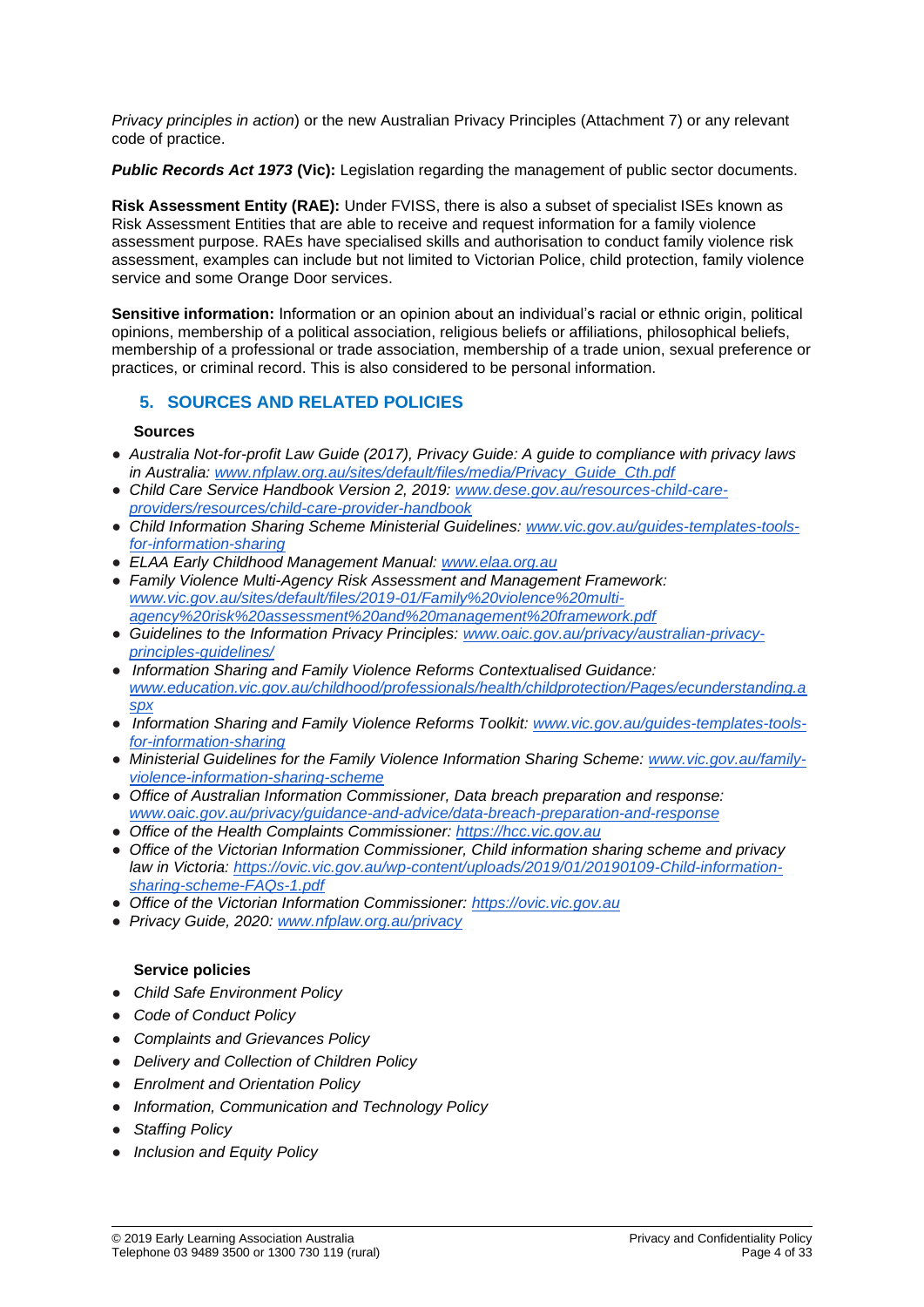*Privacy principles in action*) or the new Australian Privacy Principles (Attachment 7) or any relevant code of practice.

*Public Records Act 1973* **(Vic):** Legislation regarding the management of public sector documents.

**Risk Assessment Entity (RAE):** Under FVISS, there is also a subset of specialist ISEs known as Risk Assessment Entities that are able to receive and request information for a family violence assessment purpose. RAEs have specialised skills and authorisation to conduct family violence risk assessment, examples can include but not limited to Victorian Police, child protection, family violence service and some Orange Door services.

**Sensitive information:** Information or an opinion about an individual's racial or ethnic origin, political opinions, membership of a political association, religious beliefs or affiliations, philosophical beliefs, membership of a professional or trade association, membership of a trade union, sexual preference or practices, or criminal record. This is also considered to be personal information.

## **5. SOURCES AND RELATED POLICIES**

#### **Sources**

- *Australia Not-for-profit Law Guide (2017), Privacy Guide: A guide to compliance with privacy laws in Australia: [www.nfplaw.org.au/sites/default/files/media/Privacy\\_Guide\\_Cth.pdf](http://www.nfplaw.org.au/sites/default/files/media/Privacy_Guide_Cth.pdf)*
- *Child Care Service Handbook Version 2, 2019: [www.dese.gov.au/resources-child-care](http://www.dese.gov.au/resources-child-care-providers/resources/child-care-provider-handbook)[providers/resources/child-care-provider-handbook](http://www.dese.gov.au/resources-child-care-providers/resources/child-care-provider-handbook)*
- *Child Information Sharing Scheme Ministerial Guidelines[:](http://www.vic.gov.au/guides-templates-tools-for-information-sharing) [www.vic.gov.au/guides-templates-tools](http://www.vic.gov.au/guides-templates-tools-for-information-sharing)[for-information-sharing](http://www.vic.gov.au/guides-templates-tools-for-information-sharing)*
- *ELAA Early Childhood Management Manual: [www.elaa.org.au](http://www.elaa.org.au/)*
- *Family Violence Multi-Agency Risk Assessment and Management Framework[:](http://www.vic.gov.au/sites/default/files/2019-01/Family%20violence%20multi-agency%20risk%20assessment%20and%20management%20framework.pdf) [www.vic.gov.au/sites/default/files/2019-01/Family%20violence%20multi](http://www.vic.gov.au/sites/default/files/2019-01/Family%20violence%20multi-agency%20risk%20assessment%20and%20management%20framework.pdf)[agency%20risk%20assessment%20and%20management%20framework.pdf](http://www.vic.gov.au/sites/default/files/2019-01/Family%20violence%20multi-agency%20risk%20assessment%20and%20management%20framework.pdf)*
- *Guidelines to the Information Privacy Principles: [www.oaic.gov.au/privacy/australian-privacy](http://www.oaic.gov.au/privacy/australian-privacy-principles-guidelines/)[principles-guidelines/](http://www.oaic.gov.au/privacy/australian-privacy-principles-guidelines/)*
- *Information Sharing and Family Violence Reforms Contextualised Guidance[:](http://www.education.vic.gov.au/childhood/professionals/health/childprotection/Pages/ecunderstanding.aspx) [www.education.vic.gov.au/childhood/professionals/health/childprotection/Pages/ecunderstanding.a](http://www.education.vic.gov.au/childhood/professionals/health/childprotection/Pages/ecunderstanding.aspx) [spx](http://www.education.vic.gov.au/childhood/professionals/health/childprotection/Pages/ecunderstanding.aspx)*
- *Information Sharing and Family Violence Reforms Toolkit: [www.vic.gov.au/guides-templates-tools](http://www.vic.gov.au/guides-templates-tools-for-information-sharing)[for-information-sharing](http://www.vic.gov.au/guides-templates-tools-for-information-sharing)*
- *Ministerial Guidelines for the Family Violence Information Sharing Scheme: [www.vic.gov.au/family](http://www.vic.gov.au/family-violence-information-sharing-scheme)[violence-information-sharing-scheme](http://www.vic.gov.au/family-violence-information-sharing-scheme)*
- *Office of Australian Information Commissioner, Data breach preparation and response[:](http://www.oaic.gov.au/privacy/guidance-and-advice/data-breach-preparation-and-response) [www.oaic.gov.au/privacy/guidance-and-advice/data-breach-preparation-and-response](http://www.oaic.gov.au/privacy/guidance-and-advice/data-breach-preparation-and-response)*
- *Office of the Health Complaints Commissioner: [https://hcc.vic.gov.au](https://hcc.vic.gov.au/)*
- *Office of the Victorian Information Commissioner, Child information sharing scheme and privacy law in Victoria: [https://ovic.vic.gov.au/wp-content/uploads/2019/01/20190109-Child-information](https://ovic.vic.gov.au/wp-content/uploads/2019/01/20190109-Child-information-sharing-scheme-FAQs-1.pdf)[sharing-scheme-FAQs-1.pdf](https://ovic.vic.gov.au/wp-content/uploads/2019/01/20190109-Child-information-sharing-scheme-FAQs-1.pdf)*
- *Office of the Victorian Information Commissioner[:](https://ovic.vic.gov.au/) [https://ovic.vic.gov.au](https://ovic.vic.gov.au/)*
- *Privacy Guide, 2020[:](http://www.nfplaw.org.au/privacy) [www.nfplaw.org.au/privacy](http://www.nfplaw.org.au/privacy)*

## **Service policies**

- *Child Safe Environment Policy*
- *Code of Conduct Policy*
- *Complaints and Grievances Policy*
- *Delivery and Collection of Children Policy*
- *Enrolment and Orientation Policy*
- *Information, Communication and Technology Policy*
- *Staffing Policy*
- *Inclusion and Equity Policy*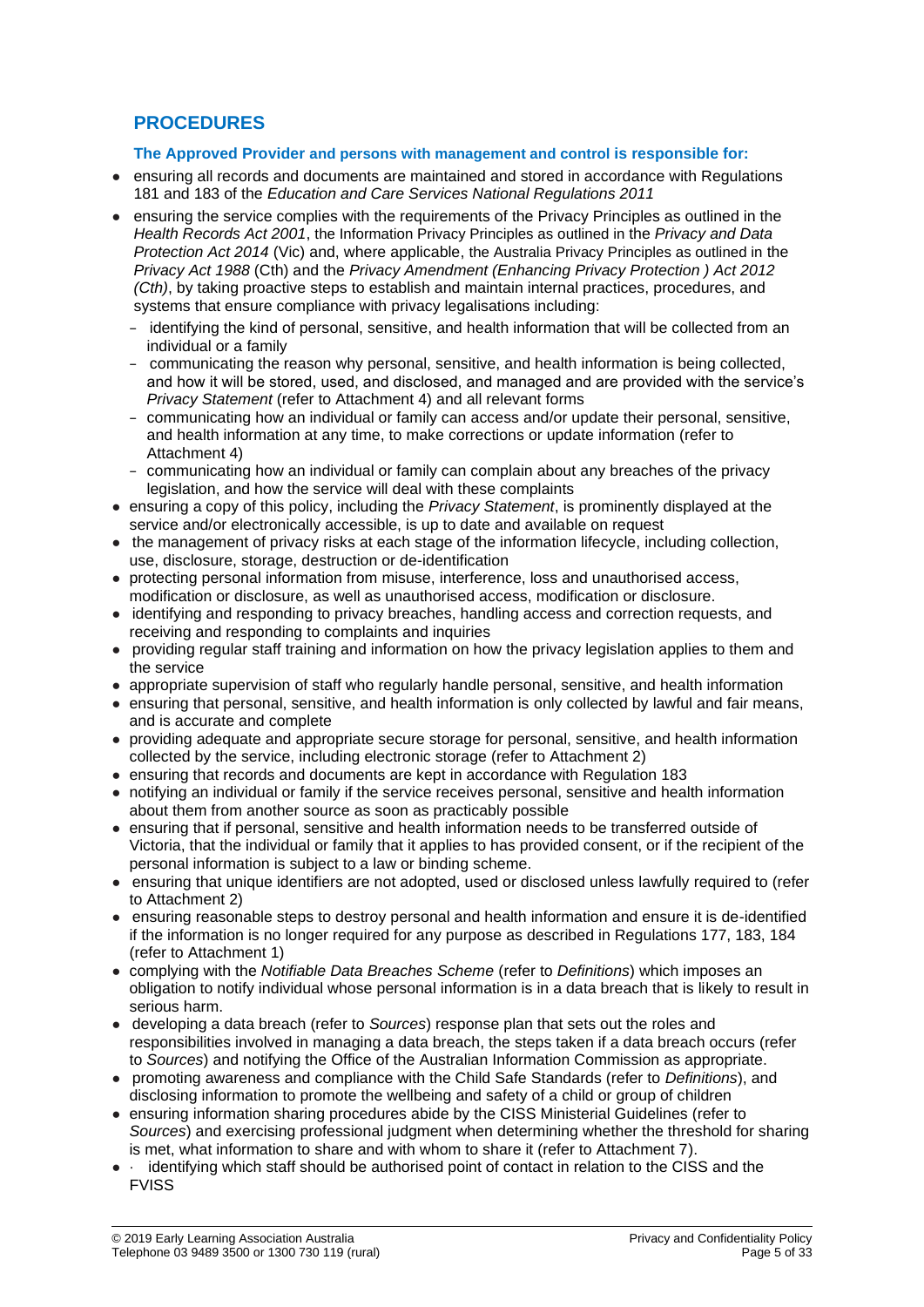## **PROCEDURES**

#### **The Approved Provider and persons with management and control is responsible for:**

- ensuring all records and documents are maintained and stored in accordance with Regulations 181 and 183 of the *Education and Care Services National Regulations 2011*
- ensuring the service complies with the requirements of the Privacy Principles as outlined in the *Health Records Act 2001*, the Information Privacy Principles as outlined in the *Privacy and Data Protection Act 2014* (Vic) and, where applicable, the Australia Privacy Principles as outlined in the *Privacy Act 1988* (Cth) and the *Privacy Amendment (Enhancing Privacy Protection ) Act 2012 (Cth)*, by taking proactive steps to establish and maintain internal practices, procedures, and systems that ensure compliance with privacy legalisations including:
	- − identifying the kind of personal, sensitive, and health information that will be collected from an individual or a family
	- − communicating the reason why personal, sensitive, and health information is being collected, and how it will be stored, used, and disclosed, and managed and are provided with the service's *Privacy Statement* (refer to Attachment 4) and all relevant forms
	- − communicating how an individual or family can access and/or update their personal, sensitive, and health information at any time, to make corrections or update information (refer to Attachment 4)
	- − communicating how an individual or family can complain about any breaches of the privacy legislation, and how the service will deal with these complaints
- ensuring a copy of this policy, including the *Privacy Statement*, is prominently displayed at the service and/or electronically accessible, is up to date and available on request
- the management of privacy risks at each stage of the information lifecycle, including collection, use, disclosure, storage, destruction or de-identification
- protecting personal information from misuse, interference, loss and unauthorised access, modification or disclosure, as well as unauthorised access, modification or disclosure.
- identifying and responding to privacy breaches, handling access and correction requests, and receiving and responding to complaints and inquiries
- providing regular staff training and information on how the privacy legislation applies to them and the service
- appropriate supervision of staff who regularly handle personal, sensitive, and health information
- ensuring that personal, sensitive, and health information is only collected by lawful and fair means, and is accurate and complete
- providing adequate and appropriate secure storage for personal, sensitive, and health information collected by the service, including electronic storage (refer to Attachment 2)
- ensuring that records and documents are kept in accordance with Regulation 183
- notifying an individual or family if the service receives personal, sensitive and health information about them from another source as soon as practicably possible
- ensuring that if personal, sensitive and health information needs to be transferred outside of Victoria, that the individual or family that it applies to has provided consent, or if the recipient of the personal information is subject to a law or binding scheme.
- ensuring that unique identifiers are not adopted, used or disclosed unless lawfully required to (refer to Attachment 2)
- ensuring reasonable steps to destroy personal and health information and ensure it is de-identified if the information is no longer required for any purpose as described in Regulations 177, 183, 184 (refer to Attachment 1)
- complying with the *Notifiable Data Breaches Scheme* (refer to *Definitions*) which imposes an obligation to notify individual whose personal information is in a data breach that is likely to result in serious harm.
- developing a data breach (refer to *Sources*) response plan that sets out the roles and responsibilities involved in managing a data breach, the steps taken if a data breach occurs (refer to *Sources*) and notifying the Office of the Australian Information Commission as appropriate.
- promoting awareness and compliance with the Child Safe Standards (refer to *Definitions*), and disclosing information to promote the wellbeing and safety of a child or group of children
- ensuring information sharing procedures abide by the CISS Ministerial Guidelines (refer to *Sources*) and exercising professional judgment when determining whether the threshold for sharing is met, what information to share and with whom to share it (refer to Attachment 7).
- · identifying which staff should be authorised point of contact in relation to the CISS and the FVISS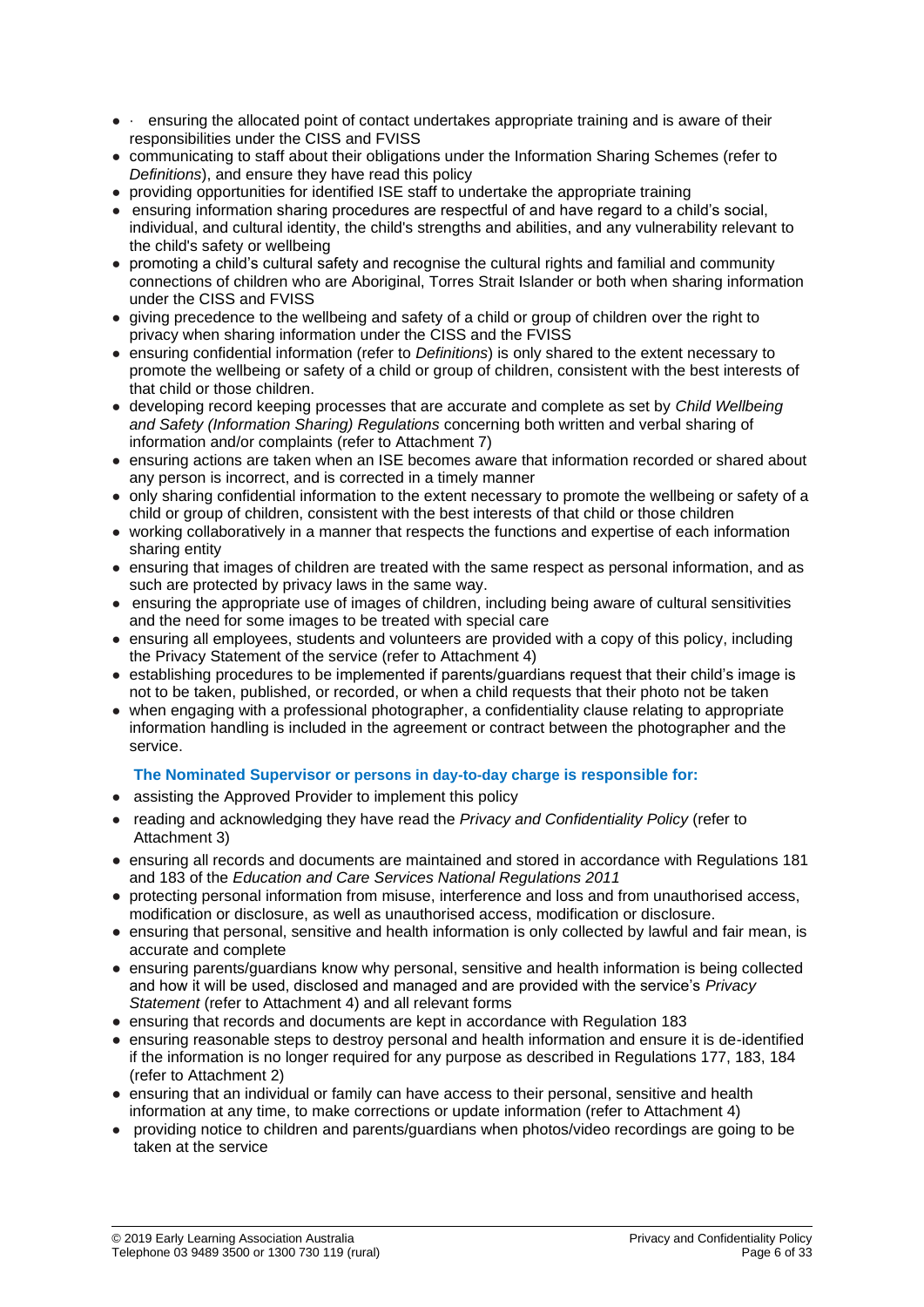- · ensuring the allocated point of contact undertakes appropriate training and is aware of their responsibilities under the CISS and FVISS
- communicating to staff about their obligations under the Information Sharing Schemes (refer to *Definitions*), and ensure they have read this policy
- providing opportunities for identified ISE staff to undertake the appropriate training
- ensuring information sharing procedures are respectful of and have regard to a child's social, individual, and cultural identity, the child's strengths and abilities, and any vulnerability relevant to the child's safety or wellbeing
- promoting a child's cultural safety and recognise the cultural rights and familial and community connections of children who are Aboriginal, Torres Strait Islander or both when sharing information under the CISS and FVISS
- giving precedence to the wellbeing and safety of a child or group of children over the right to privacy when sharing information under the CISS and the FVISS
- ensuring confidential information (refer to *Definitions*) is only shared to the extent necessary to promote the wellbeing or safety of a child or group of children, consistent with the best interests of that child or those children.
- developing record keeping processes that are accurate and complete as set by *Child Wellbeing and Safety (Information Sharing) Regulations* concerning both written and verbal sharing of information and/or complaints (refer to Attachment 7)
- ensuring actions are taken when an ISE becomes aware that information recorded or shared about any person is incorrect, and is corrected in a timely manner
- only sharing confidential information to the extent necessary to promote the wellbeing or safety of a child or group of children, consistent with the best interests of that child or those children
- working collaboratively in a manner that respects the functions and expertise of each information sharing entity
- ensuring that images of children are treated with the same respect as personal information, and as such are protected by privacy laws in the same way.
- ensuring the appropriate use of images of children, including being aware of cultural sensitivities and the need for some images to be treated with special care
- ensuring all employees, students and volunteers are provided with a copy of this policy, including the Privacy Statement of the service (refer to Attachment 4)
- establishing procedures to be implemented if parents/guardians request that their child's image is not to be taken, published, or recorded, or when a child requests that their photo not be taken
- when engaging with a professional photographer, a confidentiality clause relating to appropriate information handling is included in the agreement or contract between the photographer and the service.

## **The Nominated Supervisor or persons in day-to-day charge is responsible for:**

- assisting the Approved Provider to implement this policy
- reading and acknowledging they have read the *Privacy and Confidentiality Policy* (refer to Attachment 3)
- ensuring all records and documents are maintained and stored in accordance with Regulations 181 and 183 of the *Education and Care Services National Regulations 2011*
- protecting personal information from misuse, interference and loss and from unauthorised access, modification or disclosure, as well as unauthorised access, modification or disclosure.
- ensuring that personal, sensitive and health information is only collected by lawful and fair mean, is accurate and complete
- ensuring parents/guardians know why personal, sensitive and health information is being collected and how it will be used, disclosed and managed and are provided with the service's *Privacy Statement* (refer to Attachment 4) and all relevant forms
- ensuring that records and documents are kept in accordance with Regulation 183
- ensuring reasonable steps to destroy personal and health information and ensure it is de-identified if the information is no longer required for any purpose as described in Regulations 177, 183, 184 (refer to Attachment 2)
- ensuring that an individual or family can have access to their personal, sensitive and health information at any time, to make corrections or update information (refer to Attachment 4)
- providing notice to children and parents/guardians when photos/video recordings are going to be taken at the service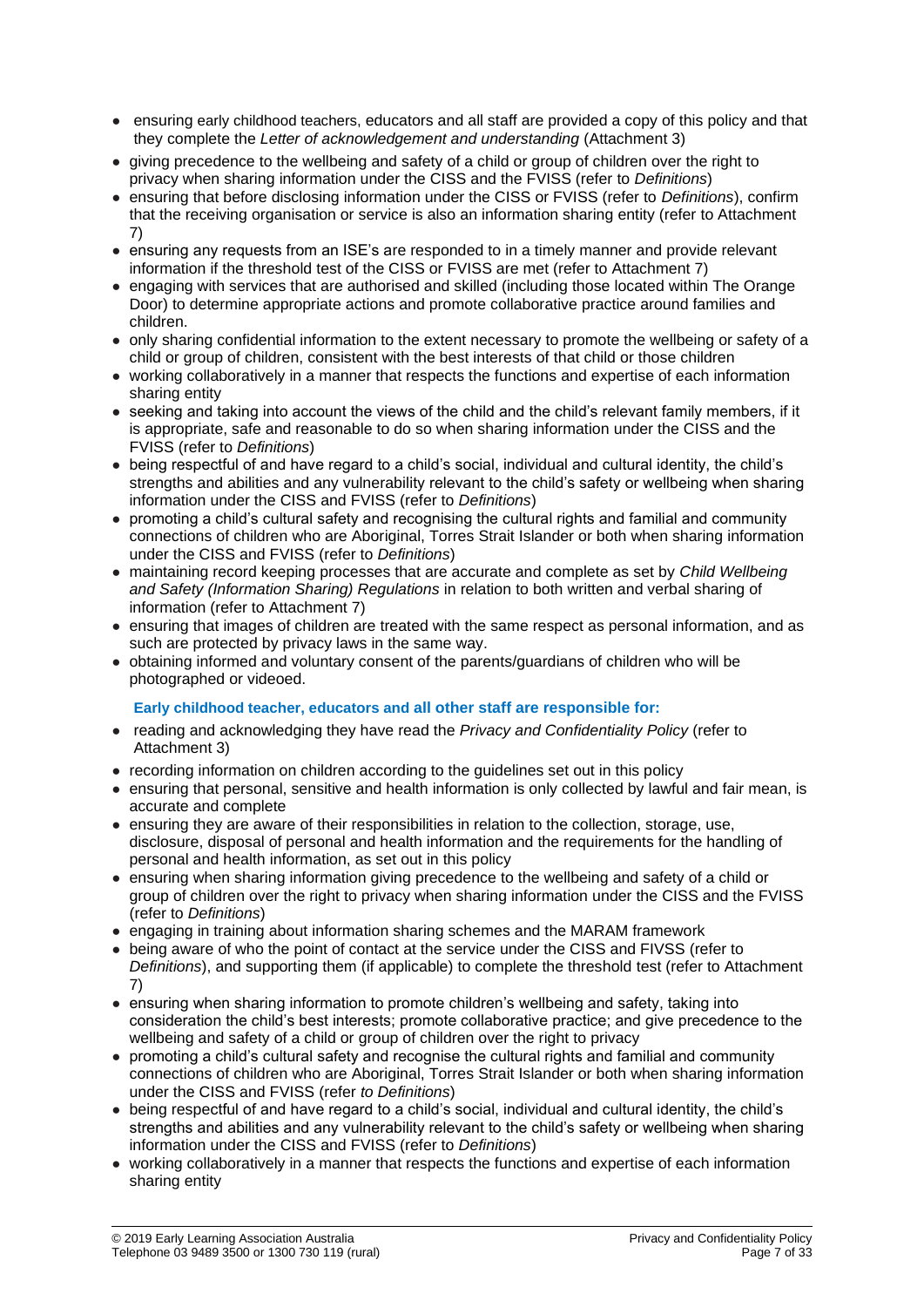- ensuring early childhood teachers, educators and all staff are provided a copy of this policy and that they complete the *Letter of acknowledgement and understanding* (Attachment 3)
- giving precedence to the wellbeing and safety of a child or group of children over the right to privacy when sharing information under the CISS and the FVISS (refer to *Definitions*)
- ensuring that before disclosing information under the CISS or FVISS (refer to *Definitions*), confirm that the receiving organisation or service is also an information sharing entity (refer to Attachment 7)
- ensuring any requests from an ISE's are responded to in a timely manner and provide relevant information if the threshold test of the CISS or FVISS are met (refer to Attachment 7)
- engaging with services that are authorised and skilled (including those located within The Orange Door) to determine appropriate actions and promote collaborative practice around families and children.
- only sharing confidential information to the extent necessary to promote the wellbeing or safety of a child or group of children, consistent with the best interests of that child or those children
- working collaboratively in a manner that respects the functions and expertise of each information sharing entity
- seeking and taking into account the views of the child and the child's relevant family members, if it is appropriate, safe and reasonable to do so when sharing information under the CISS and the FVISS (refer to *Definitions*)
- being respectful of and have regard to a child's social, individual and cultural identity, the child's strengths and abilities and any vulnerability relevant to the child's safety or wellbeing when sharing information under the CISS and FVISS (refer to *Definitions*)
- promoting a child's cultural safety and recognising the cultural rights and familial and community connections of children who are Aboriginal, Torres Strait Islander or both when sharing information under the CISS and FVISS (refer to *Definitions*)
- maintaining record keeping processes that are accurate and complete as set by *Child Wellbeing and Safety (Information Sharing) Regulations* in relation to both written and verbal sharing of information (refer to Attachment 7)
- ensuring that images of children are treated with the same respect as personal information, and as such are protected by privacy laws in the same way.
- obtaining informed and voluntary consent of the parents/guardians of children who will be photographed or videoed.

## **Early childhood teacher, educators and all other staff are responsible for:**

- reading and acknowledging they have read the *Privacy and Confidentiality Policy* (refer to Attachment 3)
- recording information on children according to the guidelines set out in this policy
- ensuring that personal, sensitive and health information is only collected by lawful and fair mean, is accurate and complete
- ensuring they are aware of their responsibilities in relation to the collection, storage, use, disclosure, disposal of personal and health information and the requirements for the handling of personal and health information, as set out in this policy
- ensuring when sharing information giving precedence to the wellbeing and safety of a child or group of children over the right to privacy when sharing information under the CISS and the FVISS (refer to *Definitions*)
- engaging in training about information sharing schemes and the MARAM framework
- being aware of who the point of contact at the service under the CISS and FIVSS (refer to *Definitions*), and supporting them (if applicable) to complete the threshold test (refer to Attachment 7)
- ensuring when sharing information to promote children's wellbeing and safety, taking into consideration the child's best interests; promote collaborative practice; and give precedence to the wellbeing and safety of a child or group of children over the right to privacy
- promoting a child's cultural safety and recognise the cultural rights and familial and community connections of children who are Aboriginal, Torres Strait Islander or both when sharing information under the CISS and FVISS (refer *to Definitions*)
- being respectful of and have regard to a child's social, individual and cultural identity, the child's strengths and abilities and any vulnerability relevant to the child's safety or wellbeing when sharing information under the CISS and FVISS (refer to *Definitions*)
- working collaboratively in a manner that respects the functions and expertise of each information sharing entity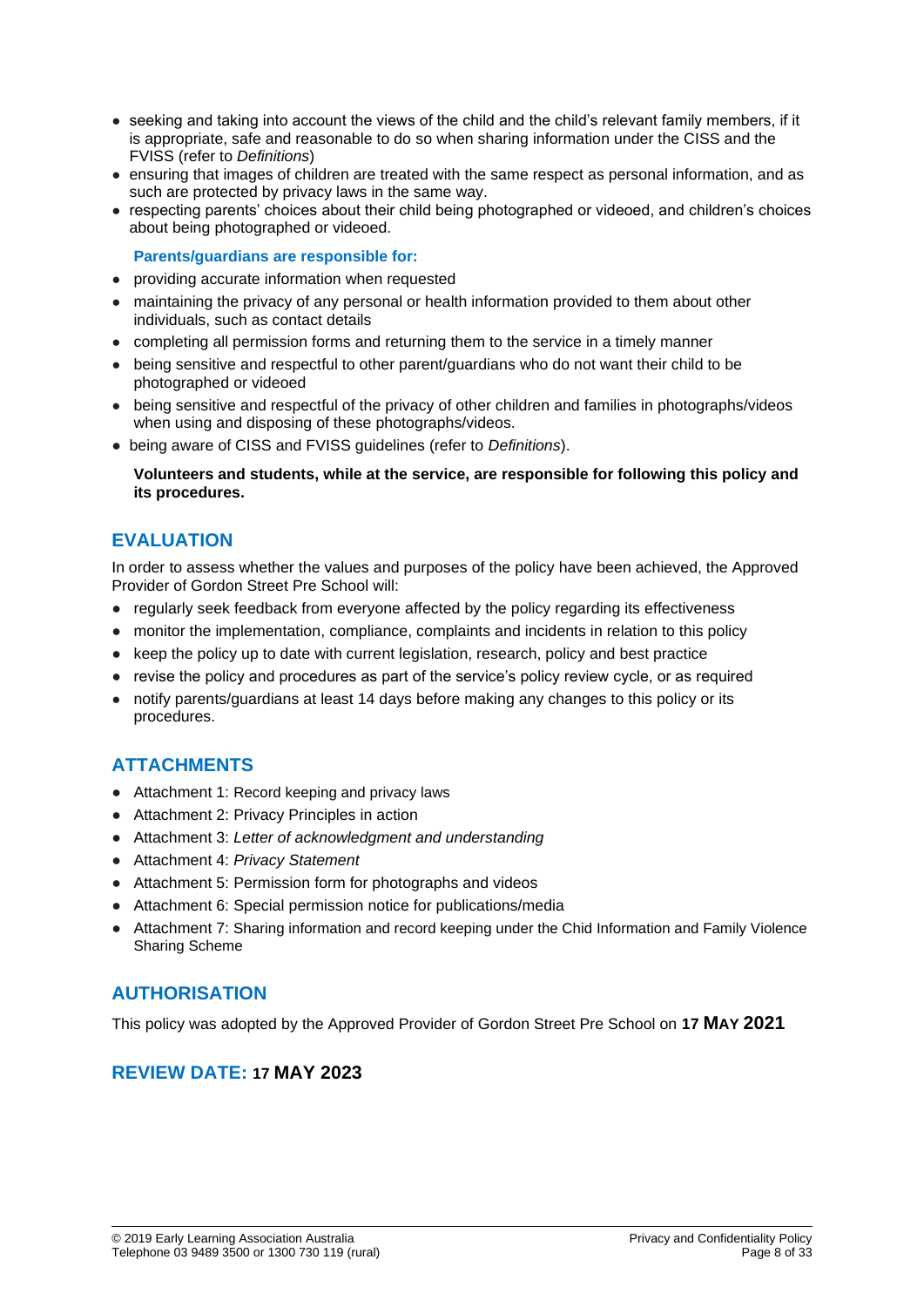- seeking and taking into account the views of the child and the child's relevant family members, if it is appropriate, safe and reasonable to do so when sharing information under the CISS and the FVISS (refer to *Definitions*)
- ensuring that images of children are treated with the same respect as personal information, and as such are protected by privacy laws in the same way.
- respecting parents' choices about their child being photographed or videoed, and children's choices about being photographed or videoed.

#### **Parents/guardians are responsible for:**

- providing accurate information when requested
- maintaining the privacy of any personal or health information provided to them about other individuals, such as contact details
- completing all permission forms and returning them to the service in a timely manner
- being sensitive and respectful to other parent/guardians who do not want their child to be photographed or videoed
- being sensitive and respectful of the privacy of other children and families in photographs/videos when using and disposing of these photographs/videos.
- being aware of CISS and FVISS guidelines (refer to *Definitions*).

**Volunteers and students, while at the service, are responsible for following this policy and its procedures.**

## **EVALUATION**

In order to assess whether the values and purposes of the policy have been achieved, the Approved Provider of Gordon Street Pre School will:

- regularly seek feedback from everyone affected by the policy regarding its effectiveness
- monitor the implementation, compliance, complaints and incidents in relation to this policy
- keep the policy up to date with current legislation, research, policy and best practice
- revise the policy and procedures as part of the service's policy review cycle, or as required
- notify parents/guardians at least 14 days before making any changes to this policy or its procedures.

## **ATTACHMENTS**

- Attachment 1: Record keeping and privacy laws
- Attachment 2: Privacy Principles in action
- Attachment 3: *Letter of acknowledgment and understanding*
- Attachment 4: *Privacy Statement*
- Attachment 5: Permission form for photographs and videos
- Attachment 6: Special permission notice for publications/media
- Attachment 7: Sharing information and record keeping under the Chid Information and Family Violence Sharing Scheme

## **AUTHORISATION**

This policy was adopted by the Approved Provider of Gordon Street Pre School on **17 MAY 2021**

## **REVIEW DATE: 17 MAY 2023**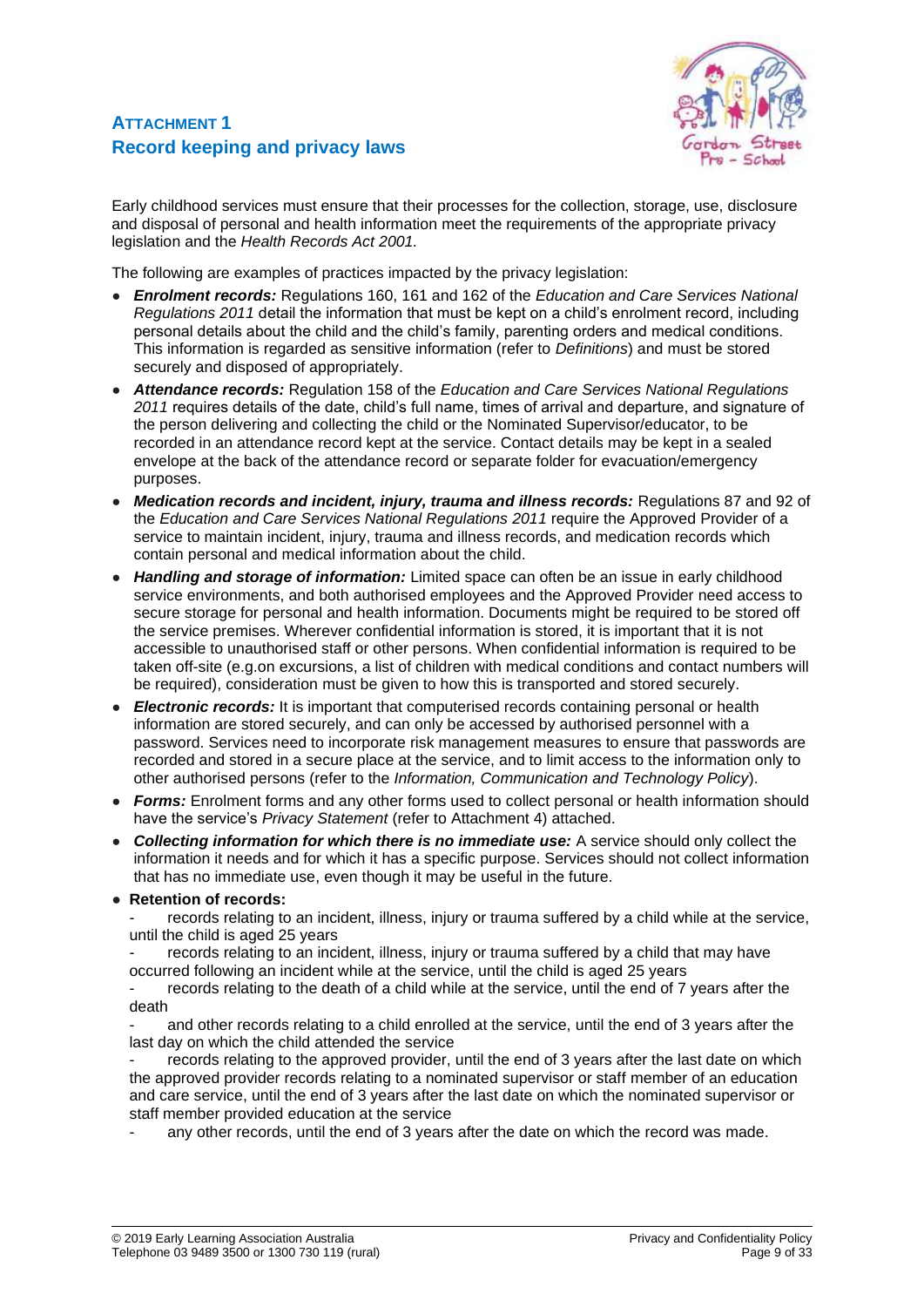## **ATTACHMENT 1 Record keeping and privacy laws**



Early childhood services must ensure that their processes for the collection, storage, use, disclosure and disposal of personal and health information meet the requirements of the appropriate privacy legislation and the *Health Records Act 2001.*

The following are examples of practices impacted by the privacy legislation:

- *Enrolment records:* Regulations 160, 161 and 162 of the *Education and Care Services National Regulations 2011* detail the information that must be kept on a child's enrolment record, including personal details about the child and the child's family, parenting orders and medical conditions. This information is regarded as sensitive information (refer to *Definitions*) and must be stored securely and disposed of appropriately.
- *Attendance records:* Regulation 158 of the *Education and Care Services National Regulations 2011* requires details of the date, child's full name, times of arrival and departure, and signature of the person delivering and collecting the child or the Nominated Supervisor/educator, to be recorded in an attendance record kept at the service. Contact details may be kept in a sealed envelope at the back of the attendance record or separate folder for evacuation/emergency purposes.
- *Medication records and incident, injury, trauma and illness records:* Regulations 87 and 92 of the *Education and Care Services National Regulations 2011* require the Approved Provider of a service to maintain incident, injury, trauma and illness records, and medication records which contain personal and medical information about the child.
- **Handling and storage of information:** Limited space can often be an issue in early childhood service environments, and both authorised employees and the Approved Provider need access to secure storage for personal and health information. Documents might be required to be stored off the service premises. Wherever confidential information is stored, it is important that it is not accessible to unauthorised staff or other persons. When confidential information is required to be taken off-site (e.g.on excursions, a list of children with medical conditions and contact numbers will be required), consideration must be given to how this is transported and stored securely.
- *Electronic records:* It is important that computerised records containing personal or health information are stored securely, and can only be accessed by authorised personnel with a password. Services need to incorporate risk management measures to ensure that passwords are recorded and stored in a secure place at the service, and to limit access to the information only to other authorised persons (refer to the *Information, Communication and Technology Policy*).
- **Forms:** Enrolment forms and any other forms used to collect personal or health information should have the service's *Privacy Statement* (refer to Attachment 4) attached.
- *Collecting information for which there is no immediate use:* A service should only collect the information it needs and for which it has a specific purpose. Services should not collect information that has no immediate use, even though it may be useful in the future.

## ● **Retention of records:**

records relating to an incident, illness, injury or trauma suffered by a child while at the service, until the child is aged 25 years

records relating to an incident, illness, injury or trauma suffered by a child that may have occurred following an incident while at the service, until the child is aged 25 years

records relating to the death of a child while at the service, until the end of 7 years after the death

and other records relating to a child enrolled at the service, until the end of 3 years after the last day on which the child attended the service

records relating to the approved provider, until the end of 3 years after the last date on which the approved provider records relating to a nominated supervisor or staff member of an education and care service, until the end of 3 years after the last date on which the nominated supervisor or staff member provided education at the service

any other records, until the end of 3 years after the date on which the record was made.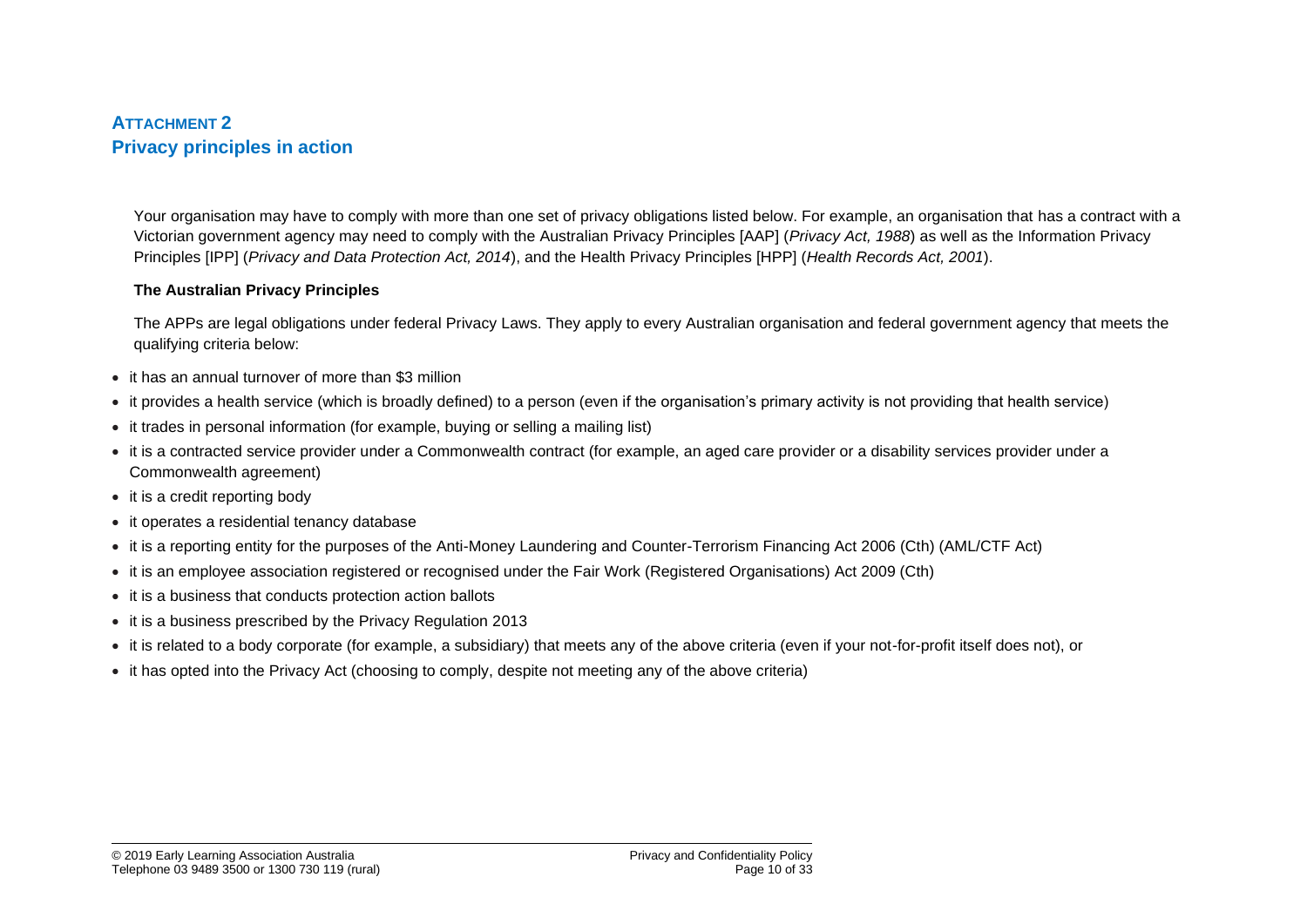## **ATTACHMENT 2 Privacy principles in action**

Your organisation may have to comply with more than one set of privacy obligations listed below. For example, an organisation that has a contract with a Victorian government agency may need to comply with the Australian Privacy Principles [AAP] (*Privacy Act, 1988*) as well as the Information Privacy Principles [IPP] (*Privacy and Data Protection Act, 2014*), and the Health Privacy Principles [HPP] (*Health Records Act, 2001*).

#### **The Australian Privacy Principles**

The APPs are legal obligations under federal Privacy Laws. They apply to every Australian organisation and federal government agency that meets the qualifying criteria below:

- it has an annual turnover of more than \$3 million
- it provides a health service (which is broadly defined) to a person (even if the organisation's primary activity is not providing that health service)
- it trades in personal information (for example, buying or selling a mailing list)
- it is a contracted service provider under a Commonwealth contract (for example, an aged care provider or a disability services provider under a Commonwealth agreement)
- it is a credit reporting body
- it operates a residential tenancy database
- it is a reporting entity for the purposes of the Anti-Money Laundering and Counter-Terrorism Financing Act 2006 (Cth) (AML/CTF Act)
- it is an employee association registered or recognised under the Fair Work (Registered Organisations) Act 2009 (Cth)
- it is a business that conducts protection action ballots
- it is a business prescribed by the Privacy Regulation 2013
- it is related to a body corporate (for example, a subsidiary) that meets any of the above criteria (even if your not-for-profit itself does not), or
- it has opted into the Privacy Act (choosing to comply, despite not meeting any of the above criteria)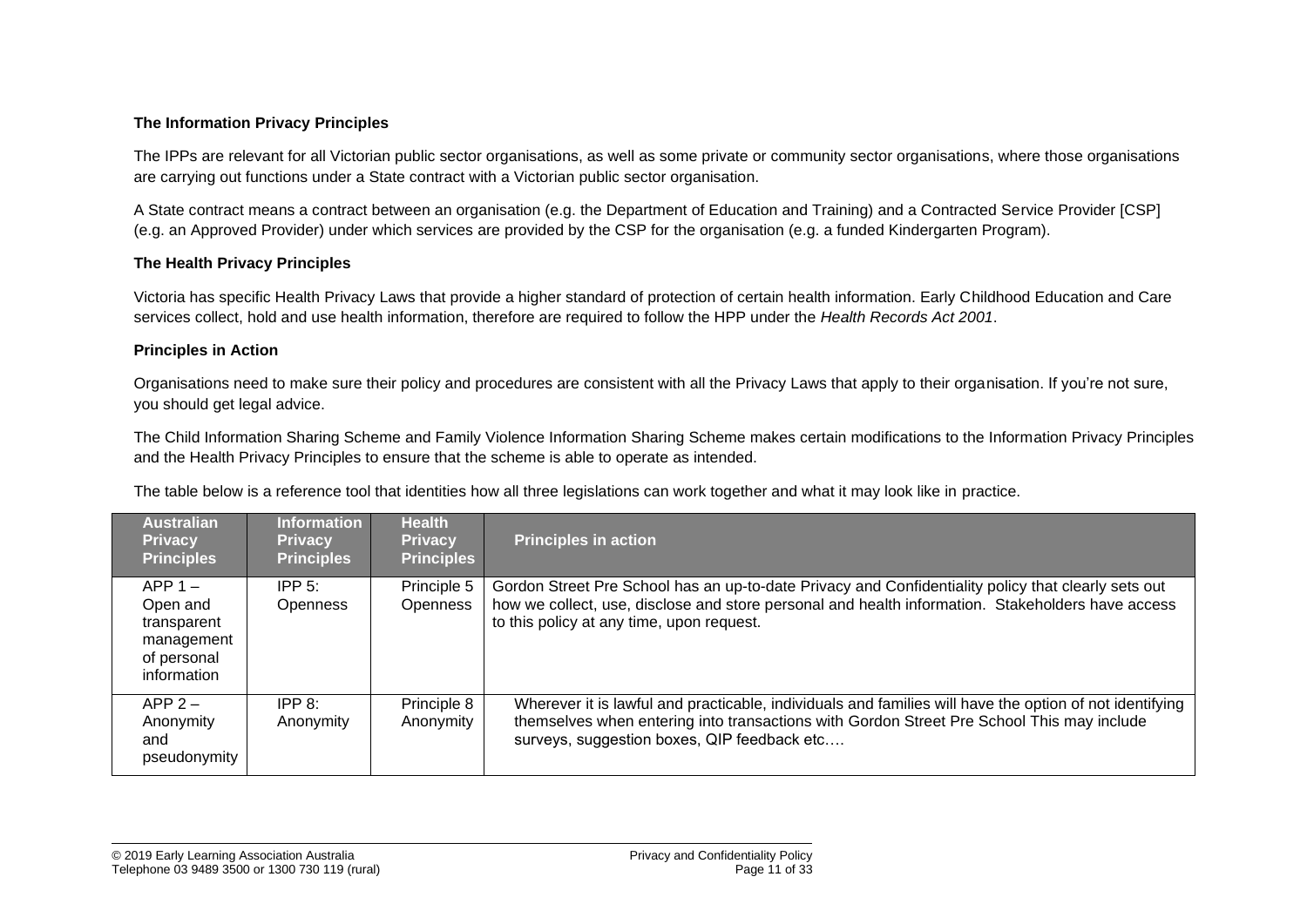#### **The Information Privacy Principles**

The IPPs are relevant for all Victorian public sector organisations, as well as some private or community sector organisations, where those organisations are carrying out functions under a State contract with a Victorian public sector organisation.

A State contract means a contract between an organisation (e.g. the Department of Education and Training) and a Contracted Service Provider [CSP] (e.g. an Approved Provider) under which services are provided by the CSP for the organisation (e.g. a funded Kindergarten Program).

#### **The Health Privacy Principles**

Victoria has specific Health Privacy Laws that provide a higher standard of protection of certain health information. Early Childhood Education and Care services collect, hold and use health information, therefore are required to follow the HPP under the *Health Records Act 2001*.

#### **Principles in Action**

Organisations need to make sure their policy and procedures are consistent with all the Privacy Laws that apply to their organisation. If you're not sure, you should get legal advice.

The Child Information Sharing Scheme and Family Violence Information Sharing Scheme makes certain modifications to the Information Privacy Principles and the Health Privacy Principles to ensure that the scheme is able to operate as intended.

| <b>Australian</b><br><b>Privacy</b><br><b>Principles</b>                         | <b>Information</b><br><b>Privacy</b><br><b>Principles</b> | <b>Health</b><br><b>Privacy</b><br><b>Principles</b> | <b>Principles in action</b>                                                                                                                                                                                                                           |
|----------------------------------------------------------------------------------|-----------------------------------------------------------|------------------------------------------------------|-------------------------------------------------------------------------------------------------------------------------------------------------------------------------------------------------------------------------------------------------------|
| $APP 1 -$<br>Open and<br>transparent<br>management<br>of personal<br>information | IPP $5$ :<br><b>Openness</b>                              | Principle 5<br><b>Openness</b>                       | Gordon Street Pre School has an up-to-date Privacy and Confidentiality policy that clearly sets out<br>how we collect, use, disclose and store personal and health information. Stakeholders have access<br>to this policy at any time, upon request. |
| $APP 2 -$<br>Anonymity<br>and<br>pseudonymity                                    | IPP $8$ :<br>Anonymity                                    | Principle 8<br>Anonymity                             | Wherever it is lawful and practicable, individuals and families will have the option of not identifying<br>themselves when entering into transactions with Gordon Street Pre School This may include<br>surveys, suggestion boxes, QIP feedback etc   |

The table below is a reference tool that identities how all three legislations can work together and what it may look like in practice.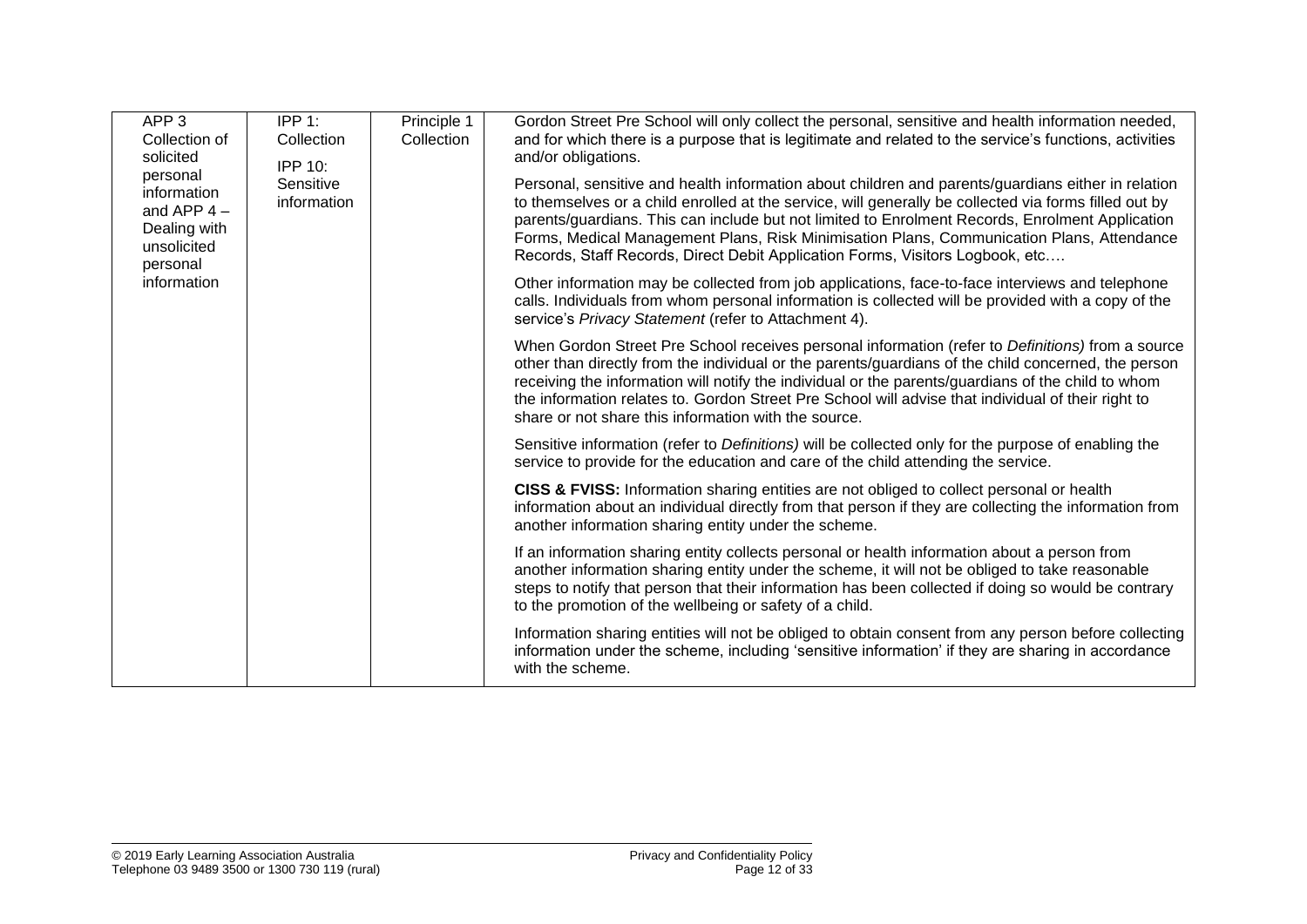| APP <sub>3</sub><br>Collection of<br>solicited                                     | IPP $1:$<br>Collection<br><b>IPP 10:</b> | Principle 1<br>Collection | Gordon Street Pre School will only collect the personal, sensitive and health information needed,<br>and for which there is a purpose that is legitimate and related to the service's functions, activities<br>and/or obligations.                                                                                                                                                                                                                                                           |
|------------------------------------------------------------------------------------|------------------------------------------|---------------------------|----------------------------------------------------------------------------------------------------------------------------------------------------------------------------------------------------------------------------------------------------------------------------------------------------------------------------------------------------------------------------------------------------------------------------------------------------------------------------------------------|
| personal<br>information<br>and APP $4-$<br>Dealing with<br>unsolicited<br>personal | Sensitive<br>information                 |                           | Personal, sensitive and health information about children and parents/guardians either in relation<br>to themselves or a child enrolled at the service, will generally be collected via forms filled out by<br>parents/guardians. This can include but not limited to Enrolment Records, Enrolment Application<br>Forms, Medical Management Plans, Risk Minimisation Plans, Communication Plans, Attendance<br>Records, Staff Records, Direct Debit Application Forms, Visitors Logbook, etc |
| information                                                                        |                                          |                           | Other information may be collected from job applications, face-to-face interviews and telephone<br>calls. Individuals from whom personal information is collected will be provided with a copy of the<br>service's Privacy Statement (refer to Attachment 4).                                                                                                                                                                                                                                |
|                                                                                    |                                          |                           | When Gordon Street Pre School receives personal information (refer to Definitions) from a source<br>other than directly from the individual or the parents/guardians of the child concerned, the person<br>receiving the information will notify the individual or the parents/guardians of the child to whom<br>the information relates to. Gordon Street Pre School will advise that individual of their right to<br>share or not share this information with the source.                  |
|                                                                                    |                                          |                           | Sensitive information (refer to Definitions) will be collected only for the purpose of enabling the<br>service to provide for the education and care of the child attending the service.                                                                                                                                                                                                                                                                                                     |
|                                                                                    |                                          |                           | CISS & FVISS: Information sharing entities are not obliged to collect personal or health<br>information about an individual directly from that person if they are collecting the information from<br>another information sharing entity under the scheme.                                                                                                                                                                                                                                    |
|                                                                                    |                                          |                           | If an information sharing entity collects personal or health information about a person from<br>another information sharing entity under the scheme, it will not be obliged to take reasonable<br>steps to notify that person that their information has been collected if doing so would be contrary<br>to the promotion of the wellbeing or safety of a child.                                                                                                                             |
|                                                                                    |                                          |                           | Information sharing entities will not be obliged to obtain consent from any person before collecting<br>information under the scheme, including 'sensitive information' if they are sharing in accordance<br>with the scheme.                                                                                                                                                                                                                                                                |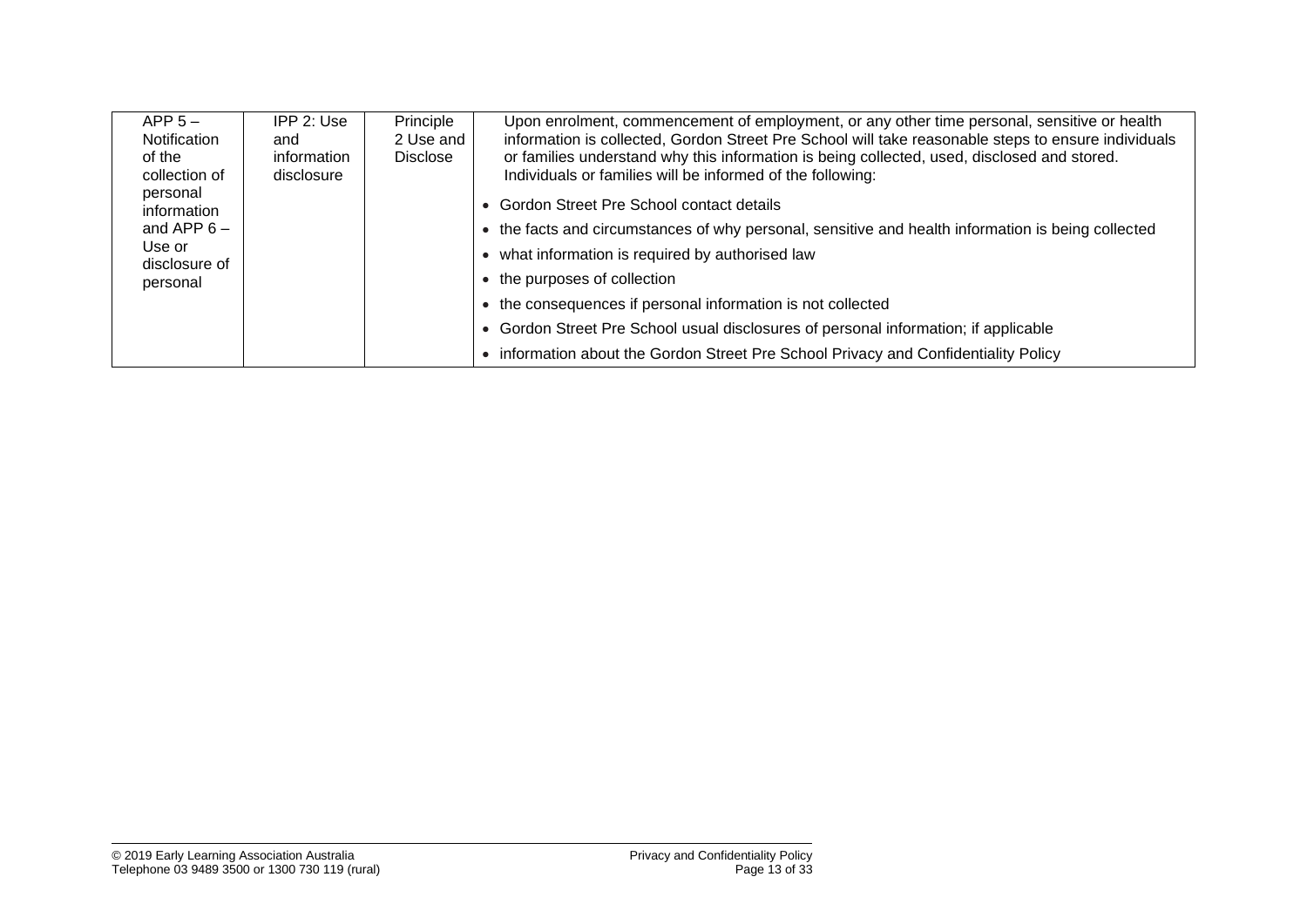| $APP 5 -$<br>Notification<br>of the<br>collection of | $IPP$ 2: Use<br>and<br>information<br>disclosure | Principle<br>2 Use and<br><b>Disclose</b> | Upon enrolment, commencement of employment, or any other time personal, sensitive or health<br>information is collected, Gordon Street Pre School will take reasonable steps to ensure individuals<br>or families understand why this information is being collected, used, disclosed and stored.<br>Individuals or families will be informed of the following: |
|------------------------------------------------------|--------------------------------------------------|-------------------------------------------|-----------------------------------------------------------------------------------------------------------------------------------------------------------------------------------------------------------------------------------------------------------------------------------------------------------------------------------------------------------------|
| personal<br>information                              |                                                  |                                           | • Gordon Street Pre School contact details                                                                                                                                                                                                                                                                                                                      |
| and APP $6 -$                                        |                                                  |                                           | • the facts and circumstances of why personal, sensitive and health information is being collected                                                                                                                                                                                                                                                              |
| Use or<br>disclosure of                              |                                                  |                                           | • what information is required by authorised law                                                                                                                                                                                                                                                                                                                |
| personal                                             |                                                  |                                           | • the purposes of collection                                                                                                                                                                                                                                                                                                                                    |
|                                                      |                                                  |                                           | • the consequences if personal information is not collected                                                                                                                                                                                                                                                                                                     |
|                                                      |                                                  |                                           | • Gordon Street Pre School usual disclosures of personal information; if applicable                                                                                                                                                                                                                                                                             |
|                                                      |                                                  |                                           | • information about the Gordon Street Pre School Privacy and Confidentiality Policy                                                                                                                                                                                                                                                                             |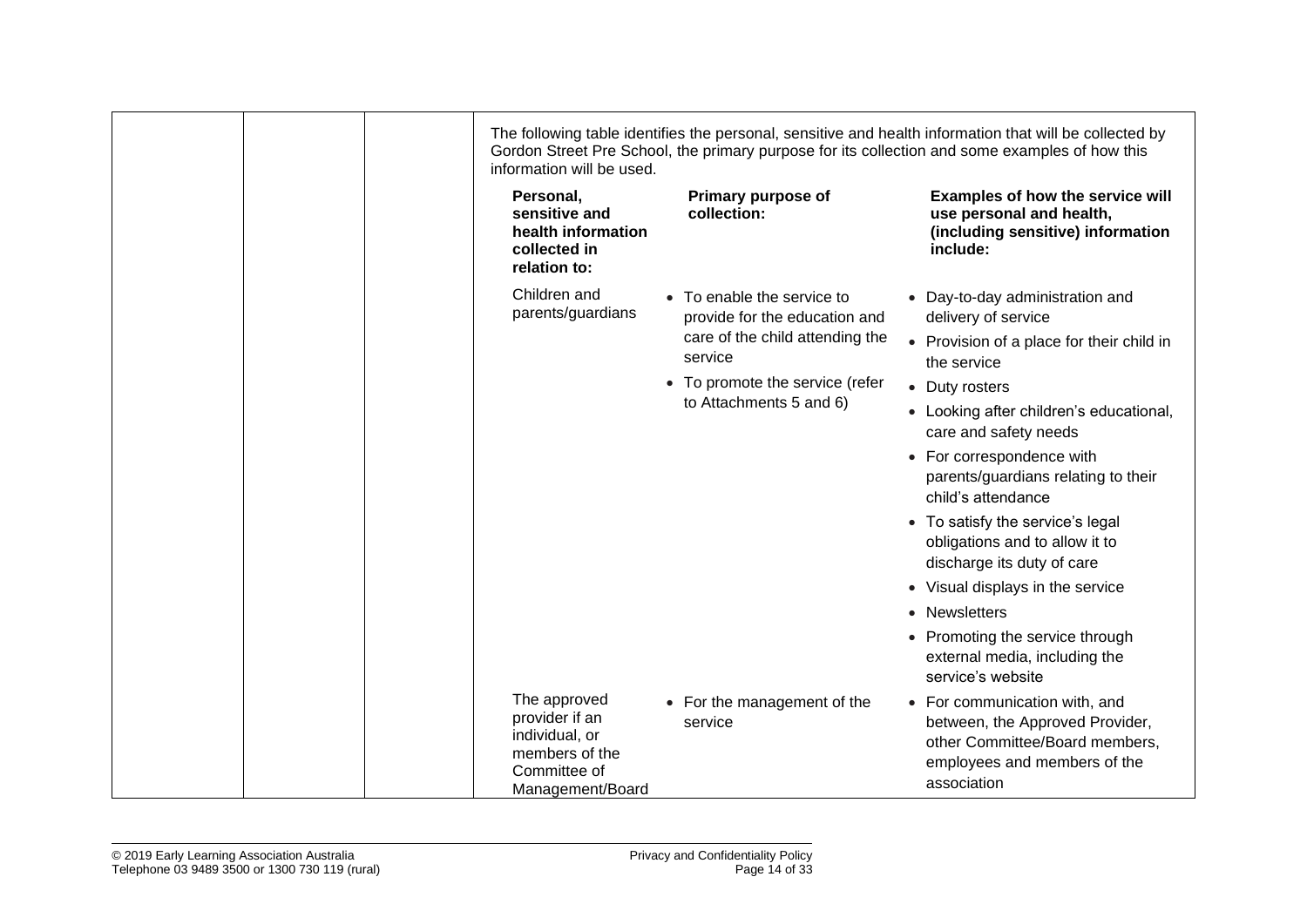| information will be used.                                                                              |                                                                                                           | The following table identifies the personal, sensitive and health information that will be collected by<br>Gordon Street Pre School, the primary purpose for its collection and some examples of how this |
|--------------------------------------------------------------------------------------------------------|-----------------------------------------------------------------------------------------------------------|-----------------------------------------------------------------------------------------------------------------------------------------------------------------------------------------------------------|
| Personal,<br>sensitive and<br>health information<br>collected in<br>relation to:                       | Primary purpose of<br>collection:                                                                         | Examples of how the service will<br>use personal and health,<br>(including sensitive) information<br>include:                                                                                             |
| Children and<br>parents/guardians                                                                      | • To enable the service to<br>provide for the education and<br>care of the child attending the<br>service | • Day-to-day administration and<br>delivery of service<br>• Provision of a place for their child in                                                                                                       |
|                                                                                                        | • To promote the service (refer<br>to Attachments 5 and 6)                                                | the service<br>• Duty rosters<br>• Looking after children's educational,<br>care and safety needs<br>• For correspondence with                                                                            |
|                                                                                                        |                                                                                                           | parents/guardians relating to their<br>child's attendance<br>• To satisfy the service's legal<br>obligations and to allow it to                                                                           |
|                                                                                                        |                                                                                                           | discharge its duty of care<br>• Visual displays in the service<br>• Newsletters                                                                                                                           |
|                                                                                                        |                                                                                                           | • Promoting the service through<br>external media, including the<br>service's website                                                                                                                     |
| The approved<br>provider if an<br>individual, or<br>members of the<br>Committee of<br>Management/Board | • For the management of the<br>service                                                                    | • For communication with, and<br>between, the Approved Provider,<br>other Committee/Board members,<br>employees and members of the<br>association                                                         |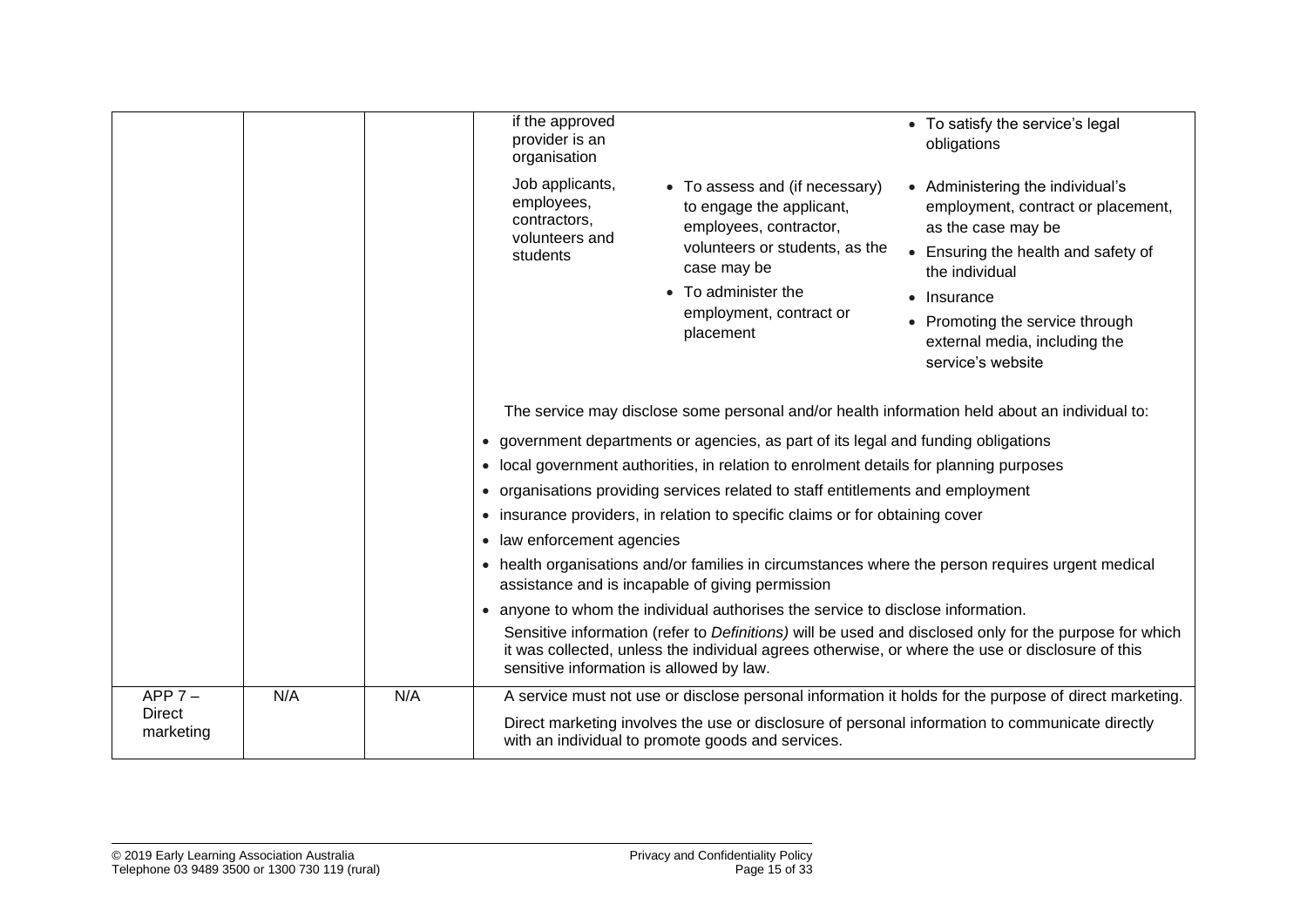|                            |     |     | if the approved<br>provider is an<br>organisation                                                                                                                                                                                                                                   | • To satisfy the service's legal<br>obligations                                                                                                                                                                                                               |
|----------------------------|-----|-----|-------------------------------------------------------------------------------------------------------------------------------------------------------------------------------------------------------------------------------------------------------------------------------------|---------------------------------------------------------------------------------------------------------------------------------------------------------------------------------------------------------------------------------------------------------------|
|                            |     |     | Job applicants,<br>• To assess and (if necessary)<br>employees,<br>to engage the applicant,<br>contractors,<br>employees, contractor,<br>volunteers and<br>volunteers or students, as the<br>students<br>case may be<br>• To administer the<br>employment, contract or<br>placement | • Administering the individual's<br>employment, contract or placement,<br>as the case may be<br>• Ensuring the health and safety of<br>the individual<br>• Insurance<br>• Promoting the service through<br>external media, including the<br>service's website |
|                            |     |     | The service may disclose some personal and/or health information held about an individual to:                                                                                                                                                                                       |                                                                                                                                                                                                                                                               |
|                            |     |     | • government departments or agencies, as part of its legal and funding obligations                                                                                                                                                                                                  |                                                                                                                                                                                                                                                               |
|                            |     |     | • local government authorities, in relation to enrolment details for planning purposes                                                                                                                                                                                              |                                                                                                                                                                                                                                                               |
|                            |     |     | • organisations providing services related to staff entitlements and employment                                                                                                                                                                                                     |                                                                                                                                                                                                                                                               |
|                            |     |     | • insurance providers, in relation to specific claims or for obtaining cover                                                                                                                                                                                                        |                                                                                                                                                                                                                                                               |
|                            |     |     | law enforcement agencies<br>$\bullet$                                                                                                                                                                                                                                               |                                                                                                                                                                                                                                                               |
|                            |     |     | health organisations and/or families in circumstances where the person requires urgent medical<br>$\bullet$<br>assistance and is incapable of giving permission                                                                                                                     |                                                                                                                                                                                                                                                               |
|                            |     |     | • anyone to whom the individual authorises the service to disclose information.                                                                                                                                                                                                     |                                                                                                                                                                                                                                                               |
|                            |     |     | Sensitive information (refer to Definitions) will be used and disclosed only for the purpose for which<br>it was collected, unless the individual agrees otherwise, or where the use or disclosure of this<br>sensitive information is allowed by law.                              |                                                                                                                                                                                                                                                               |
| $APP 7 -$                  | N/A | N/A | A service must not use or disclose personal information it holds for the purpose of direct marketing.                                                                                                                                                                               |                                                                                                                                                                                                                                                               |
| <b>Direct</b><br>marketing |     |     | Direct marketing involves the use or disclosure of personal information to communicate directly<br>with an individual to promote goods and services.                                                                                                                                |                                                                                                                                                                                                                                                               |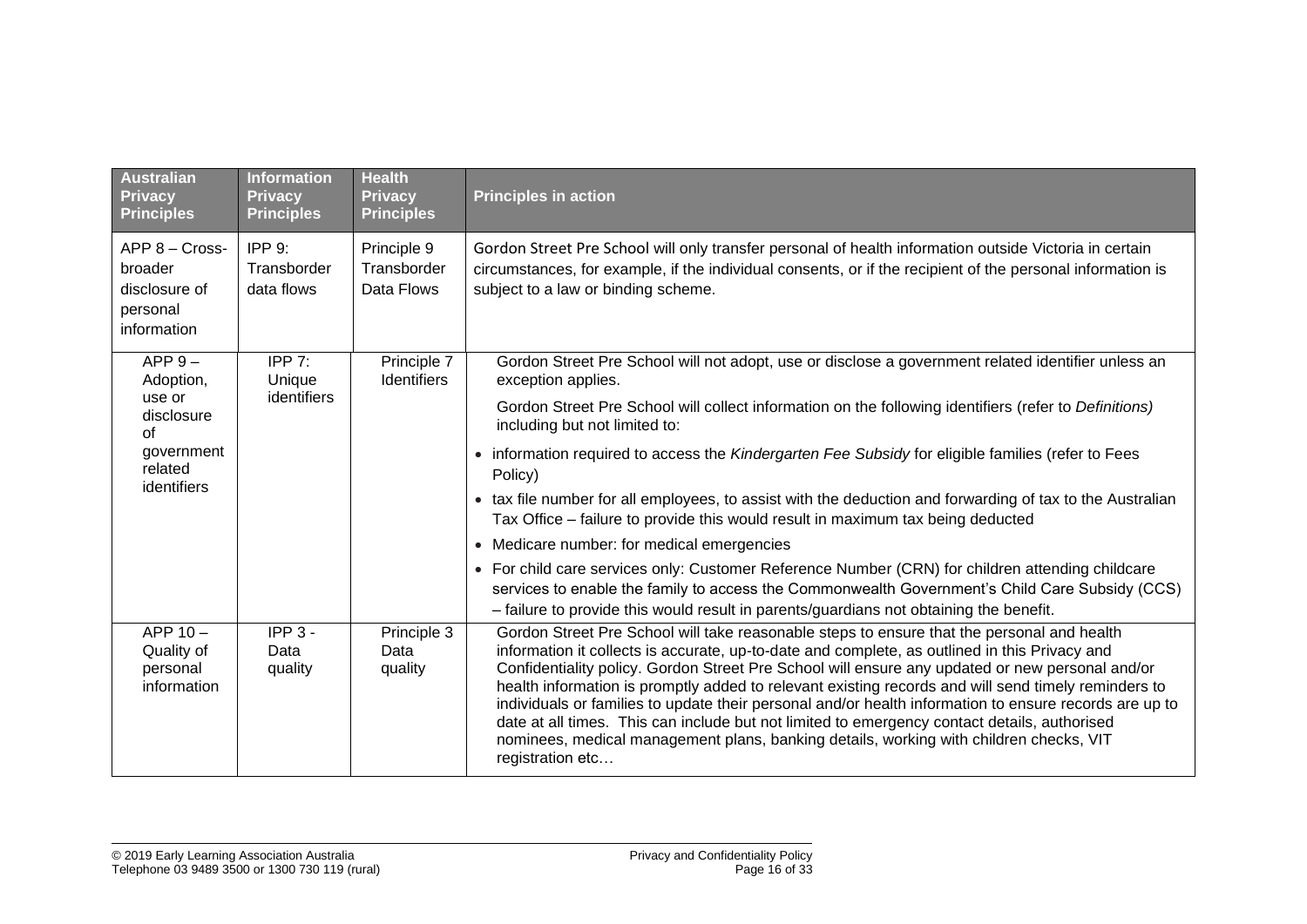| <b>Australian</b><br><b>Privacy</b><br><b>Principles</b>              | <b>Information</b><br><b>Privacy</b><br><b>Principles</b> | <b>Health</b><br><b>Privacy</b><br><b>Principles</b> | <b>Principles in action</b>                                                                                                                                                                                                                                                                                                                                                                                                                                                                                                                                                                                                                                                                                                   |
|-----------------------------------------------------------------------|-----------------------------------------------------------|------------------------------------------------------|-------------------------------------------------------------------------------------------------------------------------------------------------------------------------------------------------------------------------------------------------------------------------------------------------------------------------------------------------------------------------------------------------------------------------------------------------------------------------------------------------------------------------------------------------------------------------------------------------------------------------------------------------------------------------------------------------------------------------------|
| APP 8 - Cross-<br>broader<br>disclosure of<br>personal<br>information | IPP 9:<br>Transborder<br>data flows                       | Principle 9<br>Transborder<br>Data Flows             | Gordon Street Pre School will only transfer personal of health information outside Victoria in certain<br>circumstances, for example, if the individual consents, or if the recipient of the personal information is<br>subject to a law or binding scheme.                                                                                                                                                                                                                                                                                                                                                                                                                                                                   |
| $APP 9 -$<br>Adoption,                                                | IPP 7:<br>Unique                                          | Principle 7<br>Identifiers                           | Gordon Street Pre School will not adopt, use or disclose a government related identifier unless an<br>exception applies.                                                                                                                                                                                                                                                                                                                                                                                                                                                                                                                                                                                                      |
| use or<br>disclosure<br>of<br>government<br>related                   | identifiers                                               |                                                      | Gordon Street Pre School will collect information on the following identifiers (refer to Definitions)<br>including but not limited to:                                                                                                                                                                                                                                                                                                                                                                                                                                                                                                                                                                                        |
|                                                                       |                                                           |                                                      | • information required to access the Kindergarten Fee Subsidy for eligible families (refer to Fees<br>Policy)                                                                                                                                                                                                                                                                                                                                                                                                                                                                                                                                                                                                                 |
| identifiers                                                           |                                                           |                                                      | • tax file number for all employees, to assist with the deduction and forwarding of tax to the Australian<br>Tax Office – failure to provide this would result in maximum tax being deducted                                                                                                                                                                                                                                                                                                                                                                                                                                                                                                                                  |
|                                                                       |                                                           |                                                      | • Medicare number: for medical emergencies                                                                                                                                                                                                                                                                                                                                                                                                                                                                                                                                                                                                                                                                                    |
|                                                                       |                                                           |                                                      | For child care services only: Customer Reference Number (CRN) for children attending childcare<br>$\bullet$<br>services to enable the family to access the Commonwealth Government's Child Care Subsidy (CCS)<br>- failure to provide this would result in parents/guardians not obtaining the benefit.                                                                                                                                                                                                                                                                                                                                                                                                                       |
| APP $10 -$<br>Quality of<br>personal<br>information                   | $IPP3 -$<br>Data<br>quality                               | Principle 3<br>Data<br>quality                       | Gordon Street Pre School will take reasonable steps to ensure that the personal and health<br>information it collects is accurate, up-to-date and complete, as outlined in this Privacy and<br>Confidentiality policy. Gordon Street Pre School will ensure any updated or new personal and/or<br>health information is promptly added to relevant existing records and will send timely reminders to<br>individuals or families to update their personal and/or health information to ensure records are up to<br>date at all times. This can include but not limited to emergency contact details, authorised<br>nominees, medical management plans, banking details, working with children checks, VIT<br>registration etc |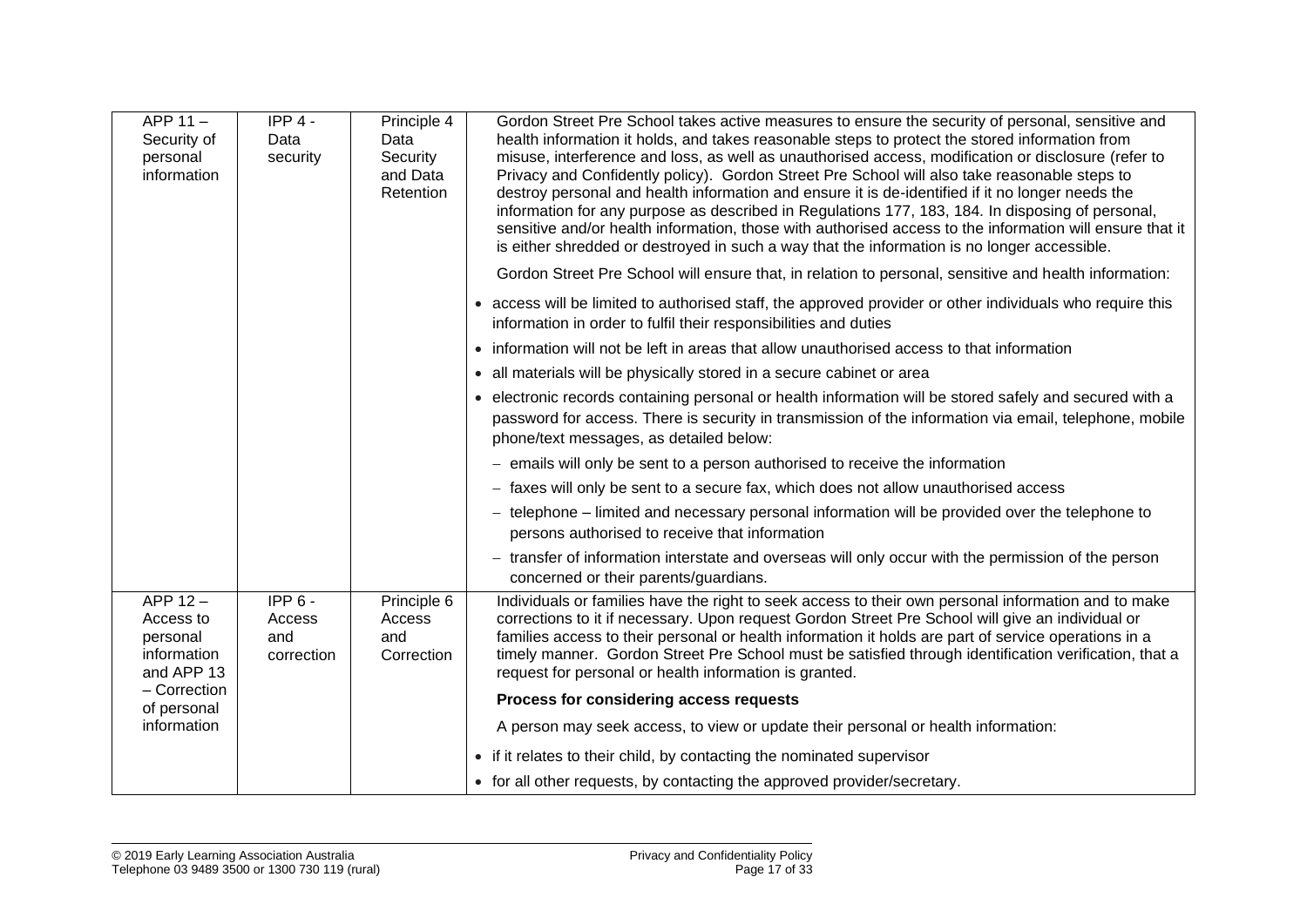| APP 11-<br>Security of<br>personal<br>information             | $IPP 4 -$<br>Data<br>security           | Principle 4<br>Data<br>Security<br>and Data<br>Retention | Gordon Street Pre School takes active measures to ensure the security of personal, sensitive and<br>health information it holds, and takes reasonable steps to protect the stored information from<br>misuse, interference and loss, as well as unauthorised access, modification or disclosure (refer to<br>Privacy and Confidently policy). Gordon Street Pre School will also take reasonable steps to<br>destroy personal and health information and ensure it is de-identified if it no longer needs the<br>information for any purpose as described in Regulations 177, 183, 184. In disposing of personal,<br>sensitive and/or health information, those with authorised access to the information will ensure that it<br>is either shredded or destroyed in such a way that the information is no longer accessible. |
|---------------------------------------------------------------|-----------------------------------------|----------------------------------------------------------|------------------------------------------------------------------------------------------------------------------------------------------------------------------------------------------------------------------------------------------------------------------------------------------------------------------------------------------------------------------------------------------------------------------------------------------------------------------------------------------------------------------------------------------------------------------------------------------------------------------------------------------------------------------------------------------------------------------------------------------------------------------------------------------------------------------------------|
|                                                               |                                         |                                                          | Gordon Street Pre School will ensure that, in relation to personal, sensitive and health information:                                                                                                                                                                                                                                                                                                                                                                                                                                                                                                                                                                                                                                                                                                                        |
|                                                               |                                         |                                                          | • access will be limited to authorised staff, the approved provider or other individuals who require this<br>information in order to fulfil their responsibilities and duties                                                                                                                                                                                                                                                                                                                                                                                                                                                                                                                                                                                                                                                |
|                                                               |                                         |                                                          | • information will not be left in areas that allow unauthorised access to that information                                                                                                                                                                                                                                                                                                                                                                                                                                                                                                                                                                                                                                                                                                                                   |
|                                                               |                                         |                                                          | • all materials will be physically stored in a secure cabinet or area                                                                                                                                                                                                                                                                                                                                                                                                                                                                                                                                                                                                                                                                                                                                                        |
|                                                               |                                         |                                                          | • electronic records containing personal or health information will be stored safely and secured with a<br>password for access. There is security in transmission of the information via email, telephone, mobile<br>phone/text messages, as detailed below:                                                                                                                                                                                                                                                                                                                                                                                                                                                                                                                                                                 |
|                                                               |                                         |                                                          | - emails will only be sent to a person authorised to receive the information                                                                                                                                                                                                                                                                                                                                                                                                                                                                                                                                                                                                                                                                                                                                                 |
|                                                               |                                         |                                                          | - faxes will only be sent to a secure fax, which does not allow unauthorised access                                                                                                                                                                                                                                                                                                                                                                                                                                                                                                                                                                                                                                                                                                                                          |
|                                                               |                                         |                                                          | - telephone – limited and necessary personal information will be provided over the telephone to<br>persons authorised to receive that information                                                                                                                                                                                                                                                                                                                                                                                                                                                                                                                                                                                                                                                                            |
|                                                               |                                         |                                                          | - transfer of information interstate and overseas will only occur with the permission of the person<br>concerned or their parents/guardians.                                                                                                                                                                                                                                                                                                                                                                                                                                                                                                                                                                                                                                                                                 |
| APP 12-<br>Access to<br>personal<br>information<br>and APP 13 | $IPP6 -$<br>Access<br>and<br>correction | Principle 6<br>Access<br>and<br>Correction               | Individuals or families have the right to seek access to their own personal information and to make<br>corrections to it if necessary. Upon request Gordon Street Pre School will give an individual or<br>families access to their personal or health information it holds are part of service operations in a<br>timely manner. Gordon Street Pre School must be satisfied through identification verification, that a<br>request for personal or health information is granted.                                                                                                                                                                                                                                                                                                                                           |
| - Correction<br>of personal                                   |                                         |                                                          | Process for considering access requests                                                                                                                                                                                                                                                                                                                                                                                                                                                                                                                                                                                                                                                                                                                                                                                      |
| information                                                   |                                         |                                                          | A person may seek access, to view or update their personal or health information:                                                                                                                                                                                                                                                                                                                                                                                                                                                                                                                                                                                                                                                                                                                                            |
|                                                               |                                         |                                                          | • if it relates to their child, by contacting the nominated supervisor                                                                                                                                                                                                                                                                                                                                                                                                                                                                                                                                                                                                                                                                                                                                                       |
|                                                               |                                         |                                                          | • for all other requests, by contacting the approved provider/secretary.                                                                                                                                                                                                                                                                                                                                                                                                                                                                                                                                                                                                                                                                                                                                                     |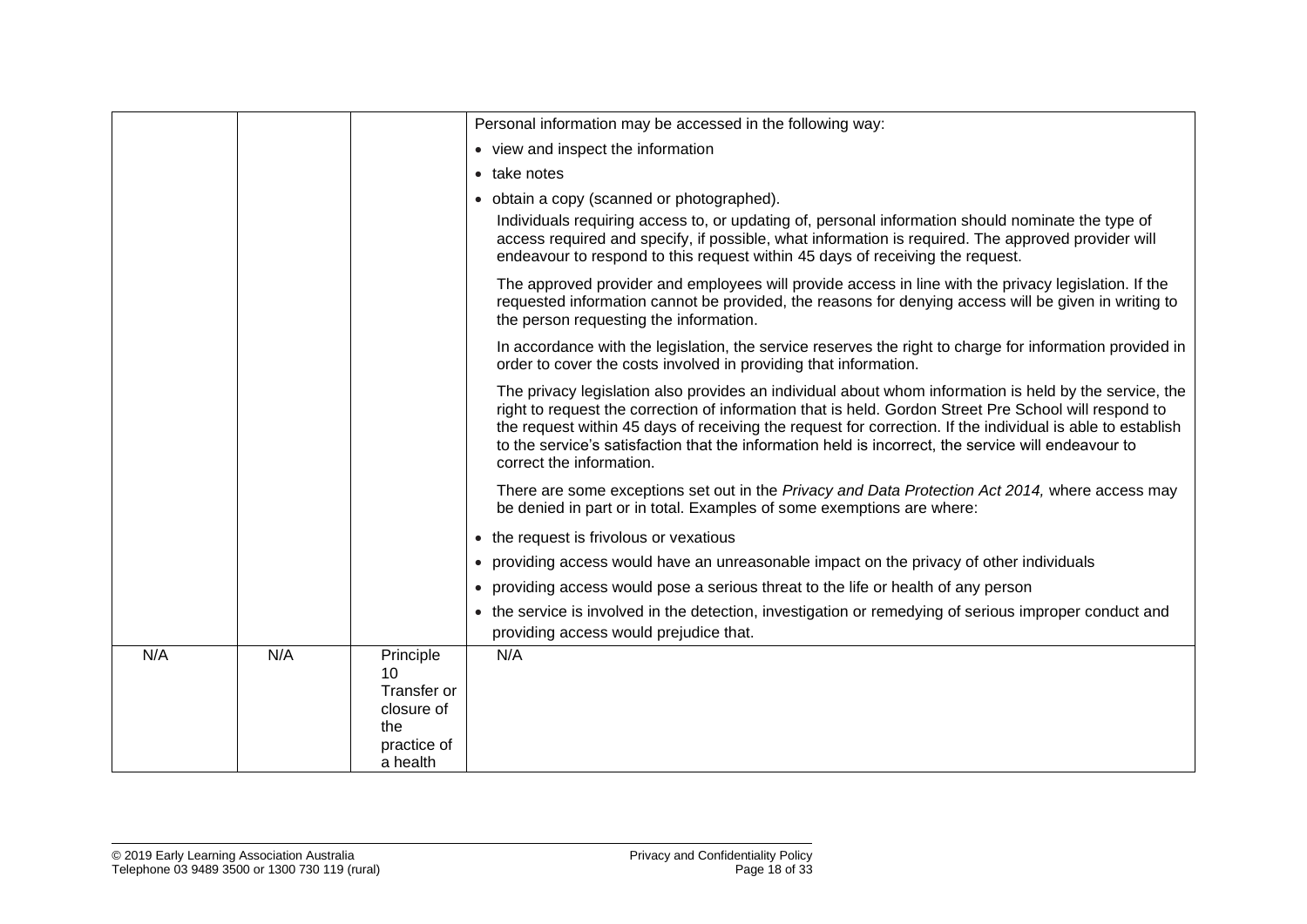|     |     |                                                                                | Personal information may be accessed in the following way:                                                                                                                                                                                                                                                                                                                                                                                                       |
|-----|-----|--------------------------------------------------------------------------------|------------------------------------------------------------------------------------------------------------------------------------------------------------------------------------------------------------------------------------------------------------------------------------------------------------------------------------------------------------------------------------------------------------------------------------------------------------------|
|     |     |                                                                                | • view and inspect the information                                                                                                                                                                                                                                                                                                                                                                                                                               |
|     |     |                                                                                | • take notes                                                                                                                                                                                                                                                                                                                                                                                                                                                     |
|     |     |                                                                                | • obtain a copy (scanned or photographed).                                                                                                                                                                                                                                                                                                                                                                                                                       |
|     |     |                                                                                | Individuals requiring access to, or updating of, personal information should nominate the type of<br>access required and specify, if possible, what information is required. The approved provider will<br>endeavour to respond to this request within 45 days of receiving the request.                                                                                                                                                                         |
|     |     |                                                                                | The approved provider and employees will provide access in line with the privacy legislation. If the<br>requested information cannot be provided, the reasons for denying access will be given in writing to<br>the person requesting the information.                                                                                                                                                                                                           |
|     |     |                                                                                | In accordance with the legislation, the service reserves the right to charge for information provided in<br>order to cover the costs involved in providing that information.                                                                                                                                                                                                                                                                                     |
|     |     |                                                                                | The privacy legislation also provides an individual about whom information is held by the service, the<br>right to request the correction of information that is held. Gordon Street Pre School will respond to<br>the request within 45 days of receiving the request for correction. If the individual is able to establish<br>to the service's satisfaction that the information held is incorrect, the service will endeavour to<br>correct the information. |
|     |     |                                                                                | There are some exceptions set out in the Privacy and Data Protection Act 2014, where access may<br>be denied in part or in total. Examples of some exemptions are where:                                                                                                                                                                                                                                                                                         |
|     |     |                                                                                | • the request is frivolous or vexatious                                                                                                                                                                                                                                                                                                                                                                                                                          |
|     |     |                                                                                | • providing access would have an unreasonable impact on the privacy of other individuals                                                                                                                                                                                                                                                                                                                                                                         |
|     |     |                                                                                | • providing access would pose a serious threat to the life or health of any person                                                                                                                                                                                                                                                                                                                                                                               |
|     |     |                                                                                | • the service is involved in the detection, investigation or remedying of serious improper conduct and<br>providing access would prejudice that.                                                                                                                                                                                                                                                                                                                 |
| N/A | N/A | Principle<br>10<br>Transfer or<br>closure of<br>the<br>practice of<br>a health | N/A                                                                                                                                                                                                                                                                                                                                                                                                                                                              |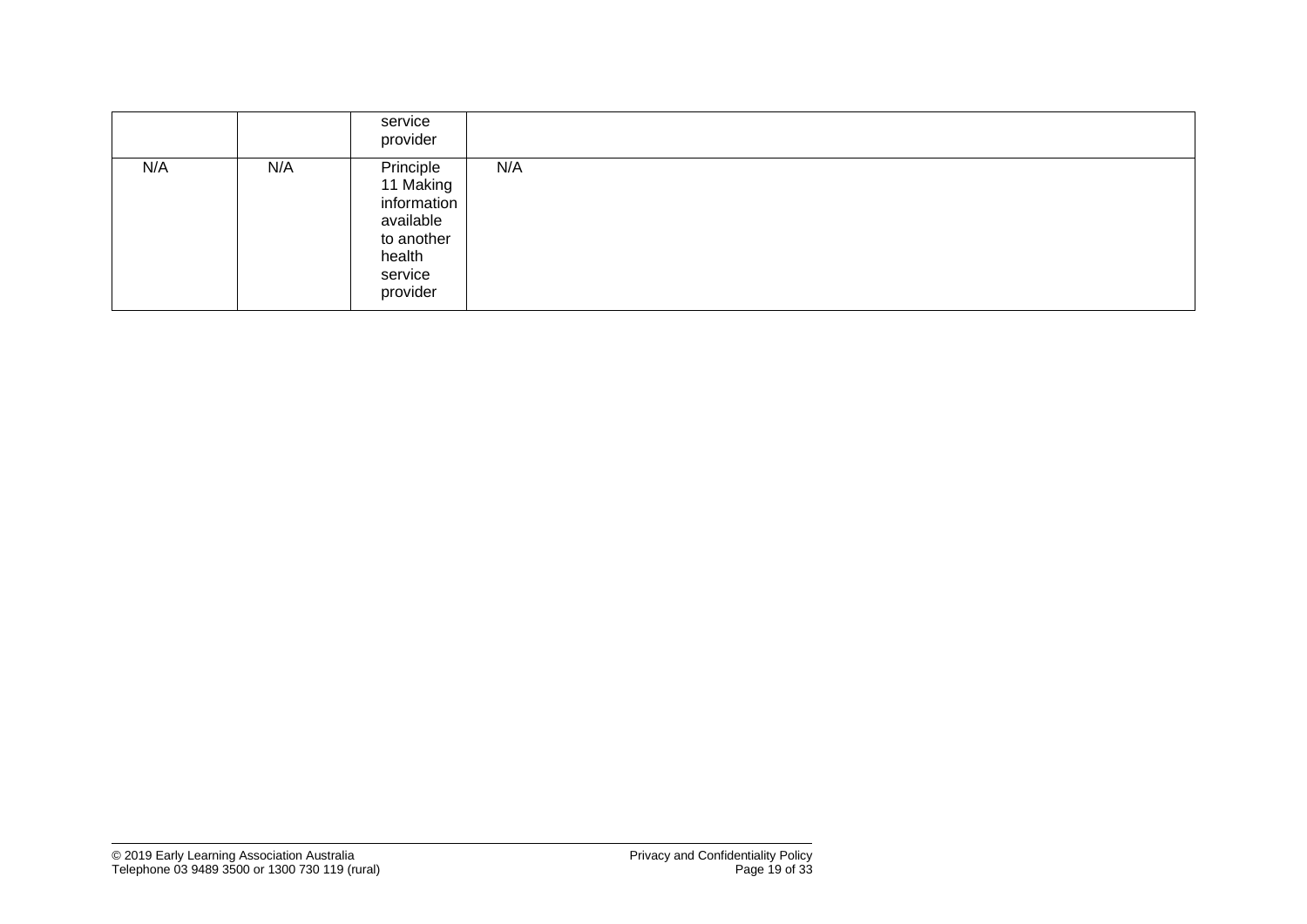|     |     | service<br>provider                                                                               |     |
|-----|-----|---------------------------------------------------------------------------------------------------|-----|
| N/A | N/A | Principle<br>11 Making<br>information<br>available<br>to another<br>health<br>service<br>provider | N/A |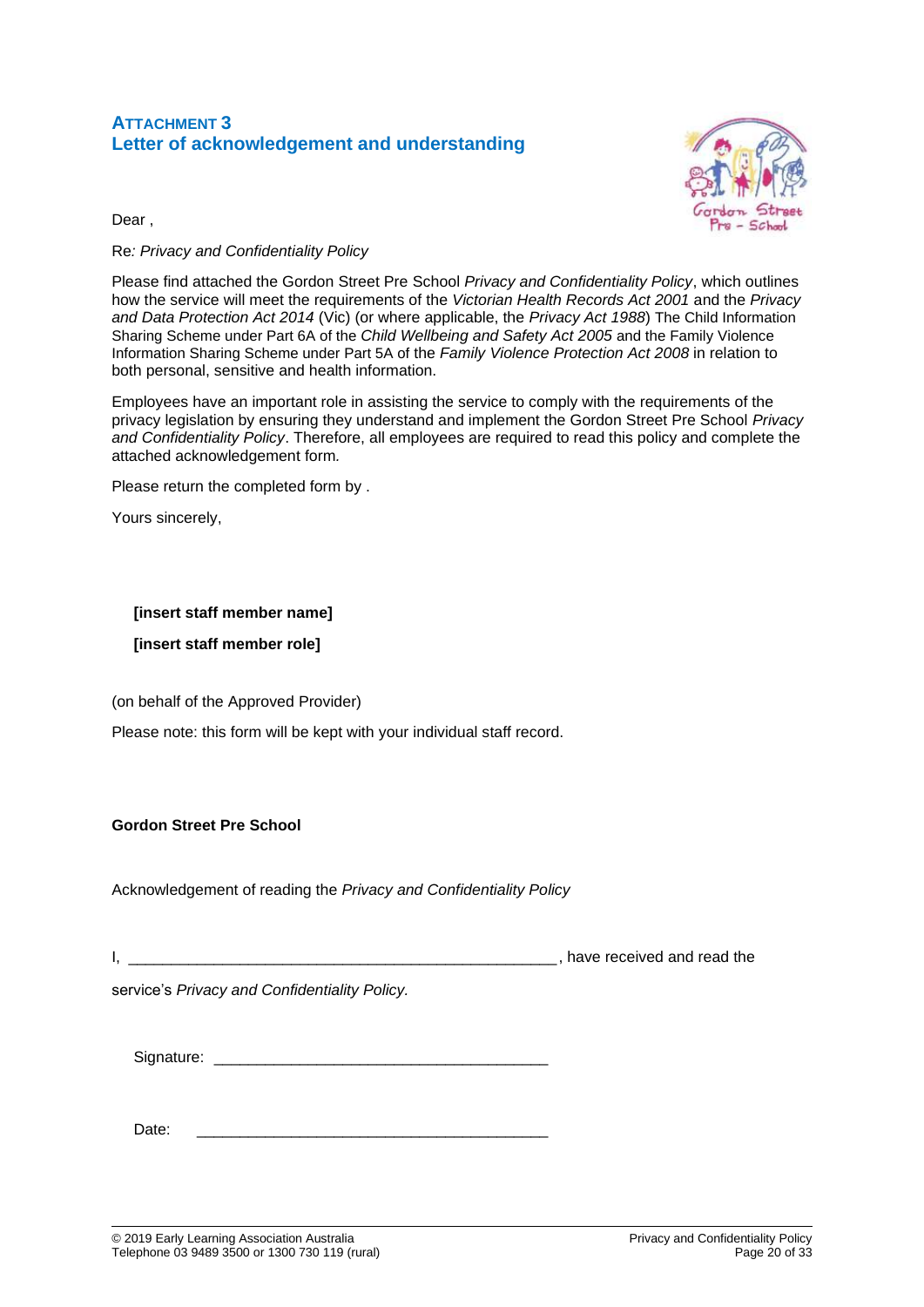## **ATTACHMENT 3 Letter of acknowledgement and understanding**



Dear ,

### Re*: Privacy and Confidentiality Policy*

Please find attached the Gordon Street Pre School *Privacy and Confidentiality Policy*, which outlines how the service will meet the requirements of the *Victorian Health Records Act 2001* and the *Privacy and Data Protection Act 2014* (Vic) (or where applicable, the *Privacy Act 1988*) The Child Information Sharing Scheme under Part 6A of the *Child Wellbeing and Safety Act 2005* and the Family Violence Information Sharing Scheme under Part 5A of the *Family Violence Protection Act 2008* in relation to both personal, sensitive and health information.

Employees have an important role in assisting the service to comply with the requirements of the privacy legislation by ensuring they understand and implement the Gordon Street Pre School *Privacy and Confidentiality Policy*. Therefore, all employees are required to read this policy and complete the attached acknowledgement form*.* 

Please return the completed form by .

Yours sincerely,

#### **[insert staff member name]**

**[insert staff member role]**

(on behalf of the Approved Provider)

Please note: this form will be kept with your individual staff record.

#### **Gordon Street Pre School**

Acknowledgement of reading the *Privacy and Confidentiality Policy*

|  | have received and read the |
|--|----------------------------|
|  |                            |

service's *Privacy and Confidentiality Policy.*

Signature:

Date: \_\_\_\_\_\_\_\_\_\_\_\_\_\_\_\_\_\_\_\_\_\_\_\_\_\_\_\_\_\_\_\_\_\_\_\_\_\_\_\_\_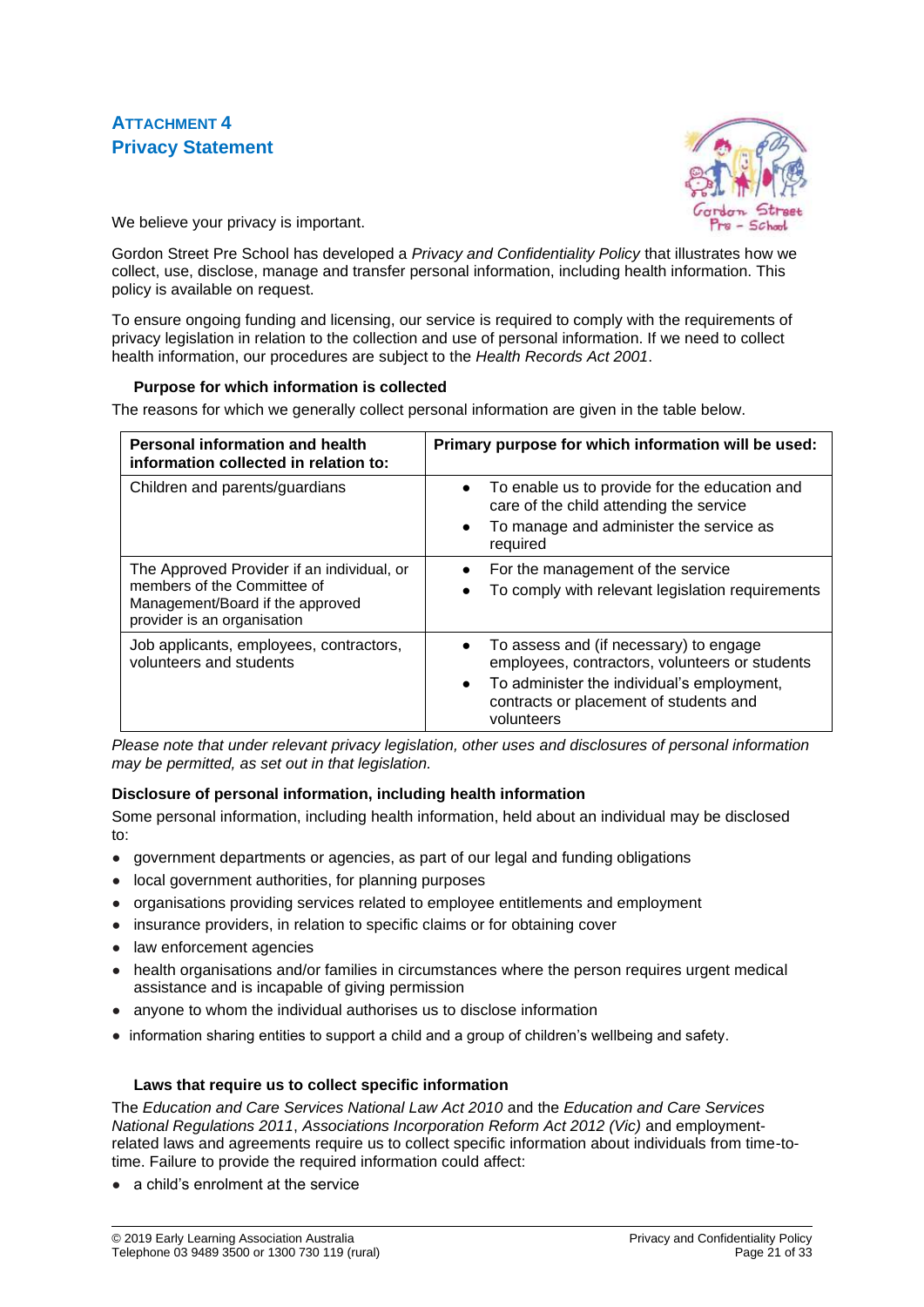## **ATTACHMENT 4 Privacy Statement**



We believe your privacy is important.

Gordon Street Pre School has developed a *Privacy and Confidentiality Policy* that illustrates how we collect, use, disclose, manage and transfer personal information, including health information. This policy is available on request.

To ensure ongoing funding and licensing, our service is required to comply with the requirements of privacy legislation in relation to the collection and use of personal information. If we need to collect health information, our procedures are subject to the *Health Records Act 2001*.

#### **Purpose for which information is collected**

The reasons for which we generally collect personal information are given in the table below.

| <b>Personal information and health</b><br>information collected in relation to:                                                              | Primary purpose for which information will be used:                                                                                                                                                                      |
|----------------------------------------------------------------------------------------------------------------------------------------------|--------------------------------------------------------------------------------------------------------------------------------------------------------------------------------------------------------------------------|
| Children and parents/guardians                                                                                                               | To enable us to provide for the education and<br>$\bullet$<br>care of the child attending the service<br>To manage and administer the service as<br>$\bullet$<br>required                                                |
| The Approved Provider if an individual, or<br>members of the Committee of<br>Management/Board if the approved<br>provider is an organisation | For the management of the service<br>$\bullet$<br>To comply with relevant legislation requirements                                                                                                                       |
| Job applicants, employees, contractors,<br>volunteers and students                                                                           | To assess and (if necessary) to engage<br>$\bullet$<br>employees, contractors, volunteers or students<br>To administer the individual's employment,<br>$\bullet$<br>contracts or placement of students and<br>volunteers |

*Please note that under relevant privacy legislation, other uses and disclosures of personal information may be permitted, as set out in that legislation.*

#### **Disclosure of personal information, including health information**

Some personal information, including health information, held about an individual may be disclosed to:

- government departments or agencies, as part of our legal and funding obligations
- local government authorities, for planning purposes
- organisations providing services related to employee entitlements and employment
- insurance providers, in relation to specific claims or for obtaining cover
- law enforcement agencies
- health organisations and/or families in circumstances where the person requires urgent medical assistance and is incapable of giving permission
- anyone to whom the individual authorises us to disclose information
- information sharing entities to support a child and a group of children's wellbeing and safety.

#### **Laws that require us to collect specific information**

The *Education and Care Services National Law Act 2010* and the *Education and Care Services National Regulations 2011*, *Associations Incorporation Reform Act 2012 (Vic)* and employmentrelated laws and agreements require us to collect specific information about individuals from time-totime. Failure to provide the required information could affect:

a child's enrolment at the service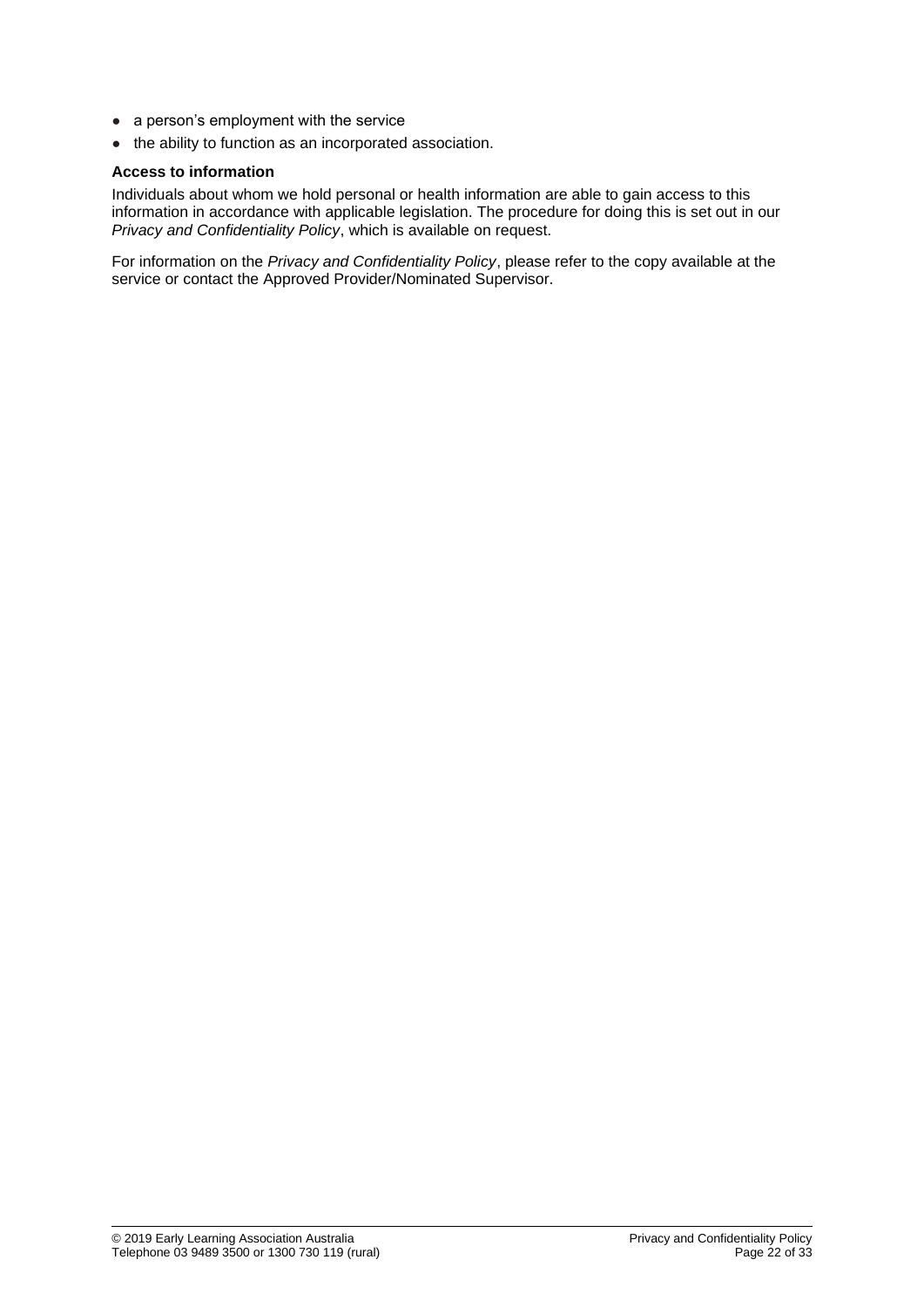- a person's employment with the service
- the ability to function as an incorporated association.

#### **Access to information**

Individuals about whom we hold personal or health information are able to gain access to this information in accordance with applicable legislation. The procedure for doing this is set out in our *Privacy and Confidentiality Policy*, which is available on request.

For information on the *Privacy and Confidentiality Policy*, please refer to the copy available at the service or contact the Approved Provider/Nominated Supervisor.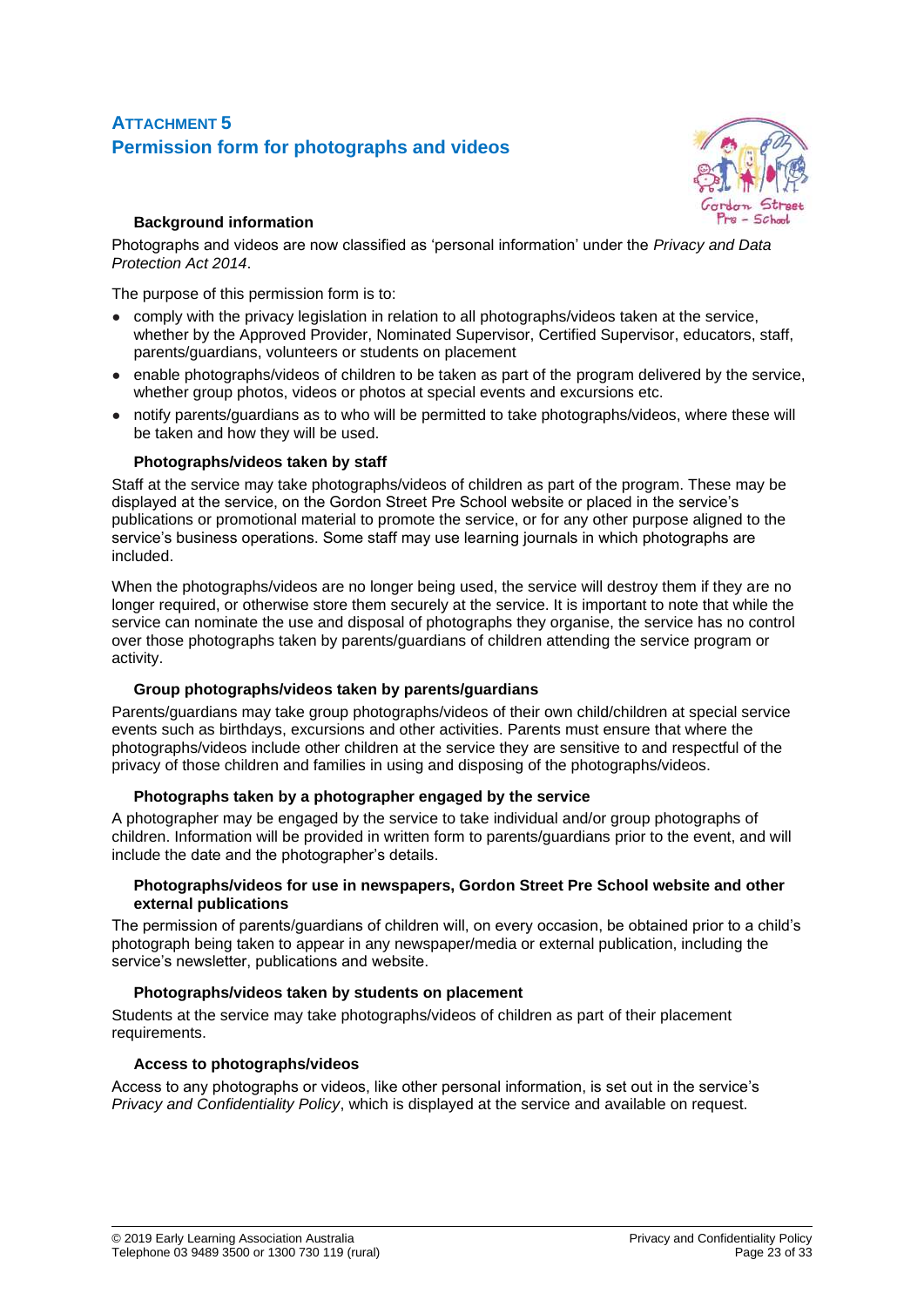## **ATTACHMENT 5 Permission form for photographs and videos**



## **Background information**

Photographs and videos are now classified as 'personal information' under the *Privacy and Data Protection Act 2014*.

The purpose of this permission form is to:

- comply with the privacy legislation in relation to all photographs/videos taken at the service, whether by the Approved Provider, Nominated Supervisor, Certified Supervisor, educators, staff, parents/guardians, volunteers or students on placement
- enable photographs/videos of children to be taken as part of the program delivered by the service, whether group photos, videos or photos at special events and excursions etc.
- notify parents/guardians as to who will be permitted to take photographs/videos, where these will be taken and how they will be used.

## **Photographs/videos taken by staff**

Staff at the service may take photographs/videos of children as part of the program. These may be displayed at the service, on the Gordon Street Pre School website or placed in the service's publications or promotional material to promote the service, or for any other purpose aligned to the service's business operations. Some staff may use learning journals in which photographs are included.

When the photographs/videos are no longer being used, the service will destroy them if they are no longer required, or otherwise store them securely at the service. It is important to note that while the service can nominate the use and disposal of photographs they organise, the service has no control over those photographs taken by parents/guardians of children attending the service program or activity.

## **Group photographs/videos taken by parents/guardians**

Parents/guardians may take group photographs/videos of their own child/children at special service events such as birthdays, excursions and other activities. Parents must ensure that where the photographs/videos include other children at the service they are sensitive to and respectful of the privacy of those children and families in using and disposing of the photographs/videos.

## **Photographs taken by a photographer engaged by the service**

A photographer may be engaged by the service to take individual and/or group photographs of children. Information will be provided in written form to parents/guardians prior to the event, and will include the date and the photographer's details.

#### **Photographs/videos for use in newspapers, Gordon Street Pre School website and other external publications**

The permission of parents/guardians of children will, on every occasion, be obtained prior to a child's photograph being taken to appear in any newspaper/media or external publication, including the service's newsletter, publications and website.

## **Photographs/videos taken by students on placement**

Students at the service may take photographs/videos of children as part of their placement requirements.

#### **Access to photographs/videos**

Access to any photographs or videos, like other personal information, is set out in the service's *Privacy and Confidentiality Policy*, which is displayed at the service and available on request.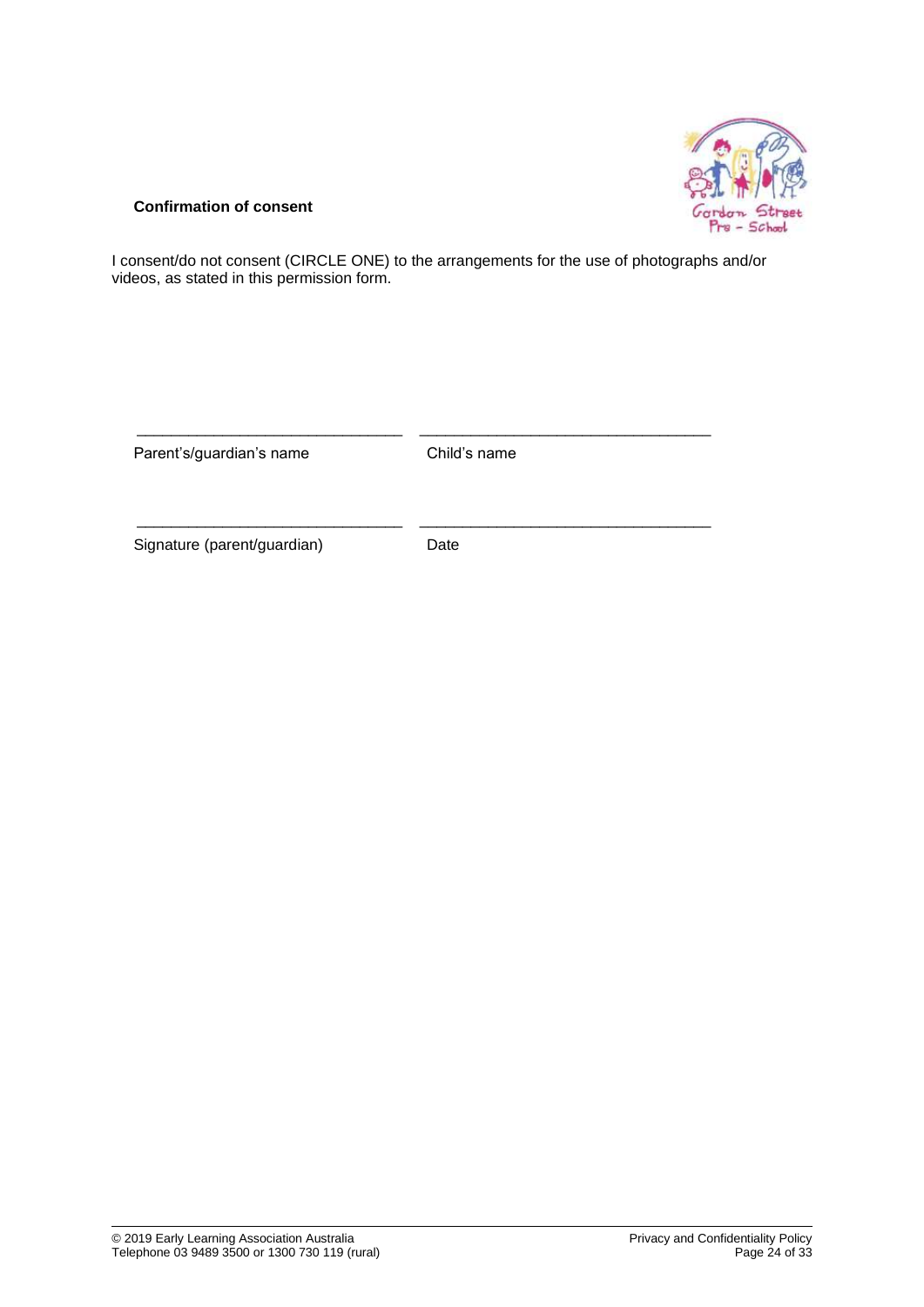

#### **Confirmation of consent**

I consent/do not consent (CIRCLE ONE) to the arrangements for the use of photographs and/or videos, as stated in this permission form.

| Parent's/guardian's name    | Child's name |  |
|-----------------------------|--------------|--|
| Signature (parent/guardian) | Date         |  |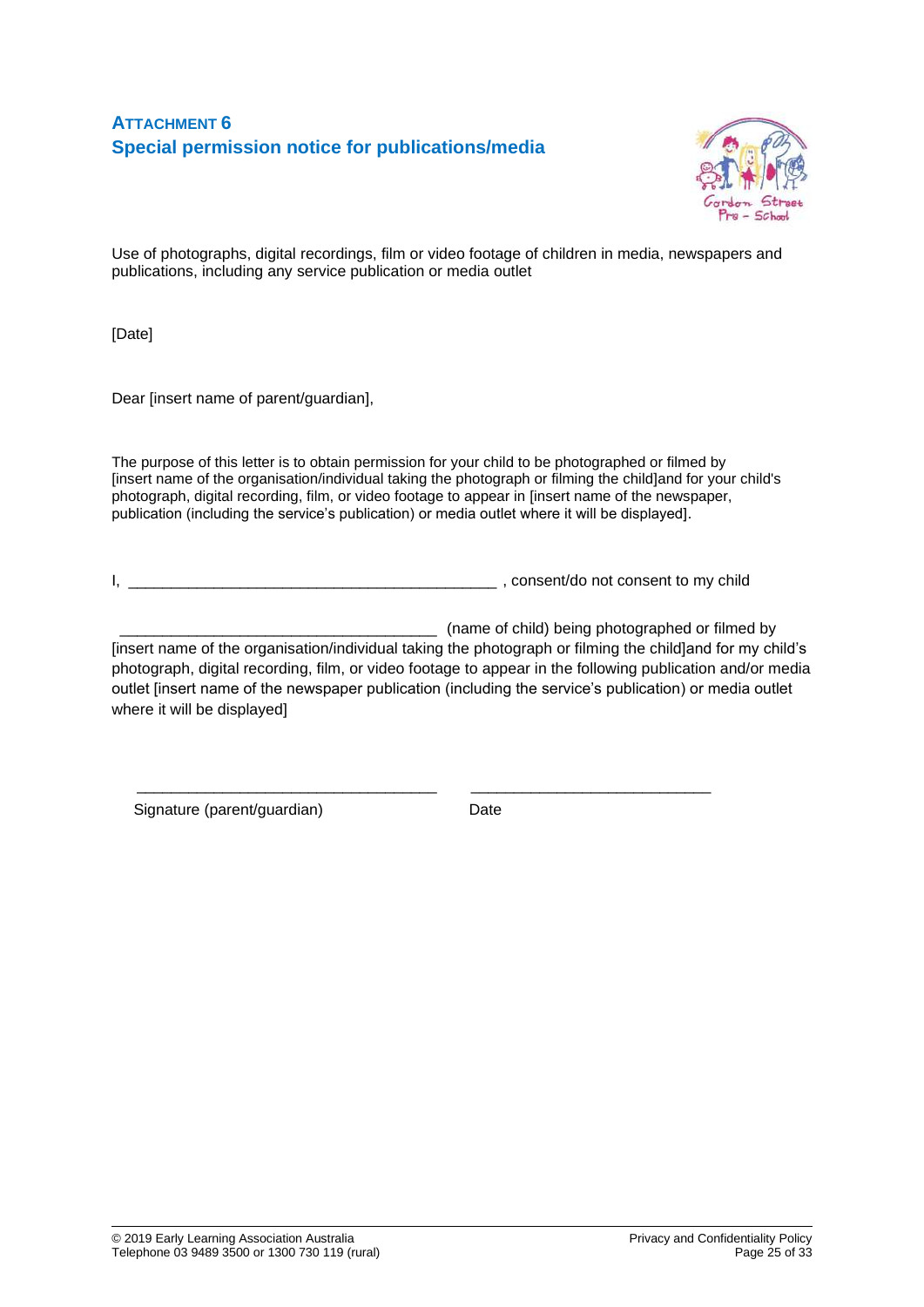## **ATTACHMENT 6 Special permission notice for publications/media**



Use of photographs, digital recordings, film or video footage of children in media, newspapers and publications, including any service publication or media outlet

[Date]

Dear [insert name of parent/guardian],

The purpose of this letter is to obtain permission for your child to be photographed or filmed by [insert name of the organisation/individual taking the photograph or filming the child]and for your child's photograph, digital recording, film, or video footage to appear in [insert name of the newspaper, publication (including the service's publication) or media outlet where it will be displayed].

I, \_\_\_\_\_\_\_\_\_\_\_\_\_\_\_\_\_\_\_\_\_\_\_\_\_\_\_\_\_\_\_\_\_\_\_\_\_\_\_\_\_\_\_ , consent/do not consent to my child

\_\_\_\_\_\_\_\_\_\_\_\_\_\_\_\_\_\_\_\_\_\_\_\_\_\_\_\_\_\_\_\_\_\_\_ \_\_\_\_\_\_\_\_\_\_\_\_\_\_\_\_\_\_\_\_\_\_\_\_\_\_\_\_

\_\_\_\_\_\_\_ (name of child) being photographed or filmed by [insert name of the organisation/individual taking the photograph or filming the child]and for my child's photograph, digital recording, film, or video footage to appear in the following publication and/or media outlet [insert name of the newspaper publication (including the service's publication) or media outlet where it will be displayed]

Signature (parent/guardian) Date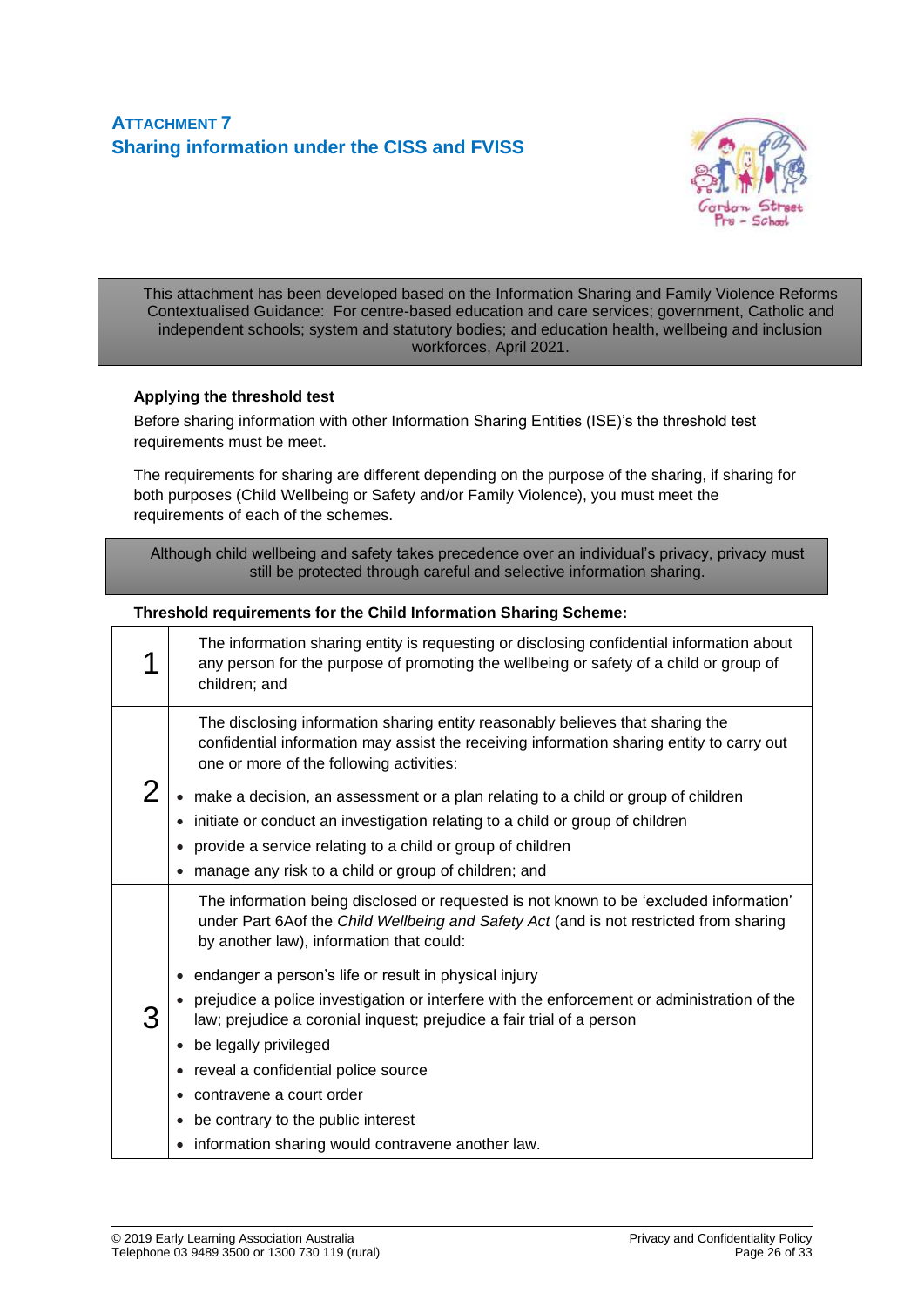## **ATTACHMENT 7 Sharing information under the CISS and FVISS**



This attachment has been developed based on the Information Sharing and Family Violence Reforms Contextualised Guidance: For centre-based education and care services; government, Catholic and independent schools; system and statutory bodies; and education health, wellbeing and inclusion workforces, April 2021.

#### **Applying the threshold test**

Before sharing information with other Information Sharing Entities (ISE)'s the threshold test requirements must be meet.

The requirements for sharing are different depending on the purpose of the sharing, if sharing for both purposes (Child Wellbeing or Safety and/or Family Violence), you must meet the requirements of each of the schemes.

Although child wellbeing and safety takes precedence over an individual's privacy, privacy must still be protected through careful and selective information sharing.

#### **Threshold requirements for the Child Information Sharing Scheme:**

|   | The information sharing entity is requesting or disclosing confidential information about<br>any person for the purpose of promoting the wellbeing or safety of a child or group of<br>children; and                                                                                                                                                                                                       |
|---|------------------------------------------------------------------------------------------------------------------------------------------------------------------------------------------------------------------------------------------------------------------------------------------------------------------------------------------------------------------------------------------------------------|
| 2 | The disclosing information sharing entity reasonably believes that sharing the<br>confidential information may assist the receiving information sharing entity to carry out<br>one or more of the following activities:<br>make a decision, an assessment or a plan relating to a child or group of children<br>initiate or conduct an investigation relating to a child or group of children<br>$\bullet$ |
|   | provide a service relating to a child or group of children                                                                                                                                                                                                                                                                                                                                                 |
|   | manage any risk to a child or group of children; and<br>$\bullet$                                                                                                                                                                                                                                                                                                                                          |
| З | The information being disclosed or requested is not known to be 'excluded information'<br>under Part 6Aof the Child Wellbeing and Safety Act (and is not restricted from sharing<br>by another law), information that could:                                                                                                                                                                               |
|   | endanger a person's life or result in physical injury                                                                                                                                                                                                                                                                                                                                                      |
|   | prejudice a police investigation or interfere with the enforcement or administration of the<br>law; prejudice a coronial inquest; prejudice a fair trial of a person                                                                                                                                                                                                                                       |
|   | be legally privileged                                                                                                                                                                                                                                                                                                                                                                                      |
|   | • reveal a confidential police source                                                                                                                                                                                                                                                                                                                                                                      |
|   | • contravene a court order                                                                                                                                                                                                                                                                                                                                                                                 |
|   | be contrary to the public interest<br>$\bullet$                                                                                                                                                                                                                                                                                                                                                            |
|   | • information sharing would contravene another law.                                                                                                                                                                                                                                                                                                                                                        |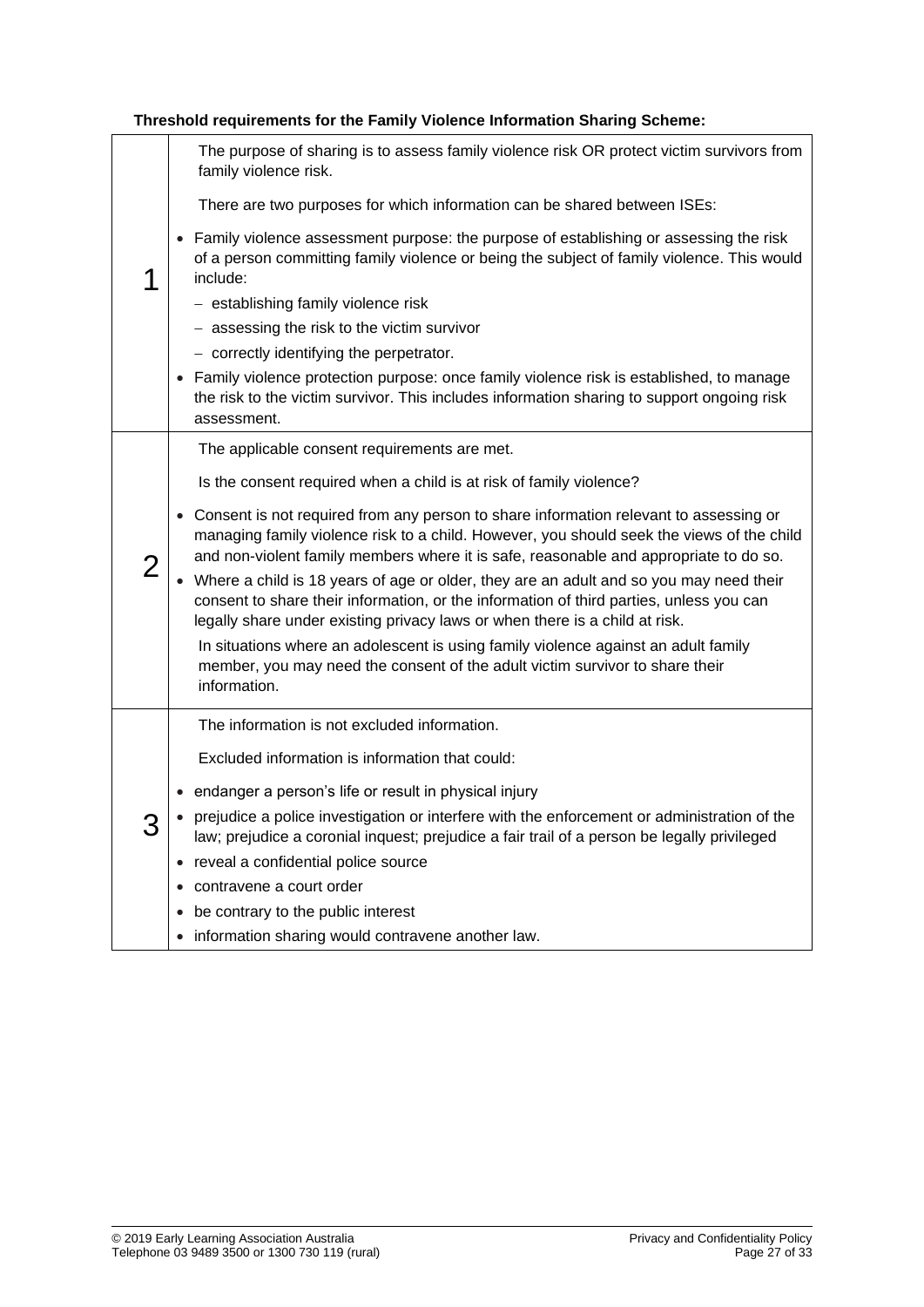| 1 | The purpose of sharing is to assess family violence risk OR protect victim survivors from<br>family violence risk.<br>There are two purposes for which information can be shared between ISEs:<br>Family violence assessment purpose: the purpose of establishing or assessing the risk<br>of a person committing family violence or being the subject of family violence. This would<br>include:<br>- establishing family violence risk<br>- assessing the risk to the victim survivor<br>- correctly identifying the perpetrator.<br>Family violence protection purpose: once family violence risk is established, to manage<br>the risk to the victim survivor. This includes information sharing to support ongoing risk<br>assessment.                                                                                                                                 |
|---|-----------------------------------------------------------------------------------------------------------------------------------------------------------------------------------------------------------------------------------------------------------------------------------------------------------------------------------------------------------------------------------------------------------------------------------------------------------------------------------------------------------------------------------------------------------------------------------------------------------------------------------------------------------------------------------------------------------------------------------------------------------------------------------------------------------------------------------------------------------------------------|
| 2 | The applicable consent requirements are met.<br>Is the consent required when a child is at risk of family violence?<br>Consent is not required from any person to share information relevant to assessing or<br>$\bullet$<br>managing family violence risk to a child. However, you should seek the views of the child<br>and non-violent family members where it is safe, reasonable and appropriate to do so.<br>• Where a child is 18 years of age or older, they are an adult and so you may need their<br>consent to share their information, or the information of third parties, unless you can<br>legally share under existing privacy laws or when there is a child at risk.<br>In situations where an adolescent is using family violence against an adult family<br>member, you may need the consent of the adult victim survivor to share their<br>information. |
| J | The information is not excluded information.<br>Excluded information is information that could:<br>endanger a person's life or result in physical injury<br>prejudice a police investigation or interfere with the enforcement or administration of the<br>law; prejudice a coronial inquest; prejudice a fair trail of a person be legally privileged<br>reveal a confidential police source<br>$\bullet$<br>contravene a court order<br>be contrary to the public interest<br>$\bullet$<br>information sharing would contravene another law.<br>$\bullet$                                                                                                                                                                                                                                                                                                                 |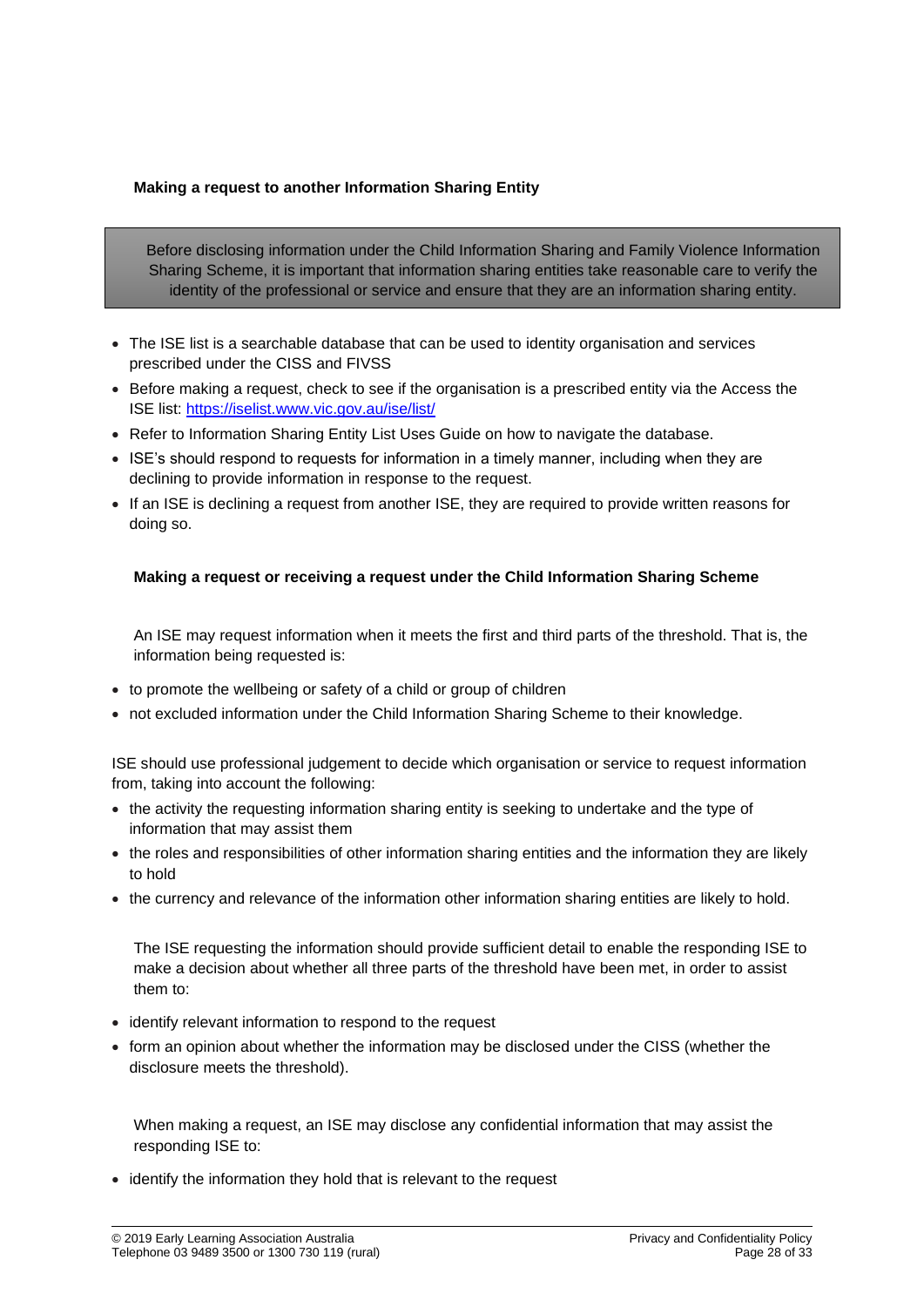### **Making a request to another Information Sharing Entity**

Before disclosing information under the Child Information Sharing and Family Violence Information Sharing Scheme, it is important that information sharing entities take reasonable care to verify the identity of the professional or service and ensure that they are an information sharing entity.

- The ISE list is a searchable database that can be used to identity organisation and services prescribed under the CISS and FIVSS
- Before making a request, check to see if the organisation is a prescribed entity via the Access the ISE list:<https://iselist.www.vic.gov.au/ise/list/>
- Refer to Information Sharing Entity List Uses Guide on how to navigate the database.
- ISE's should respond to requests for information in a timely manner, including when they are declining to provide information in response to the request.
- If an ISE is declining a request from another ISE, they are required to provide written reasons for doing so.

#### **Making a request or receiving a request under the Child Information Sharing Scheme**

An ISE may request information when it meets the first and third parts of the threshold. That is, the information being requested is:

- to promote the wellbeing or safety of a child or group of children
- not excluded information under the Child Information Sharing Scheme to their knowledge.

ISE should use professional judgement to decide which organisation or service to request information from, taking into account the following:

- the activity the requesting information sharing entity is seeking to undertake and the type of information that may assist them
- the roles and responsibilities of other information sharing entities and the information they are likely to hold
- the currency and relevance of the information other information sharing entities are likely to hold.

The ISE requesting the information should provide sufficient detail to enable the responding ISE to make a decision about whether all three parts of the threshold have been met, in order to assist them to:

- identify relevant information to respond to the request
- form an opinion about whether the information may be disclosed under the CISS (whether the disclosure meets the threshold).

When making a request, an ISE may disclose any confidential information that may assist the responding ISE to:

• identify the information they hold that is relevant to the request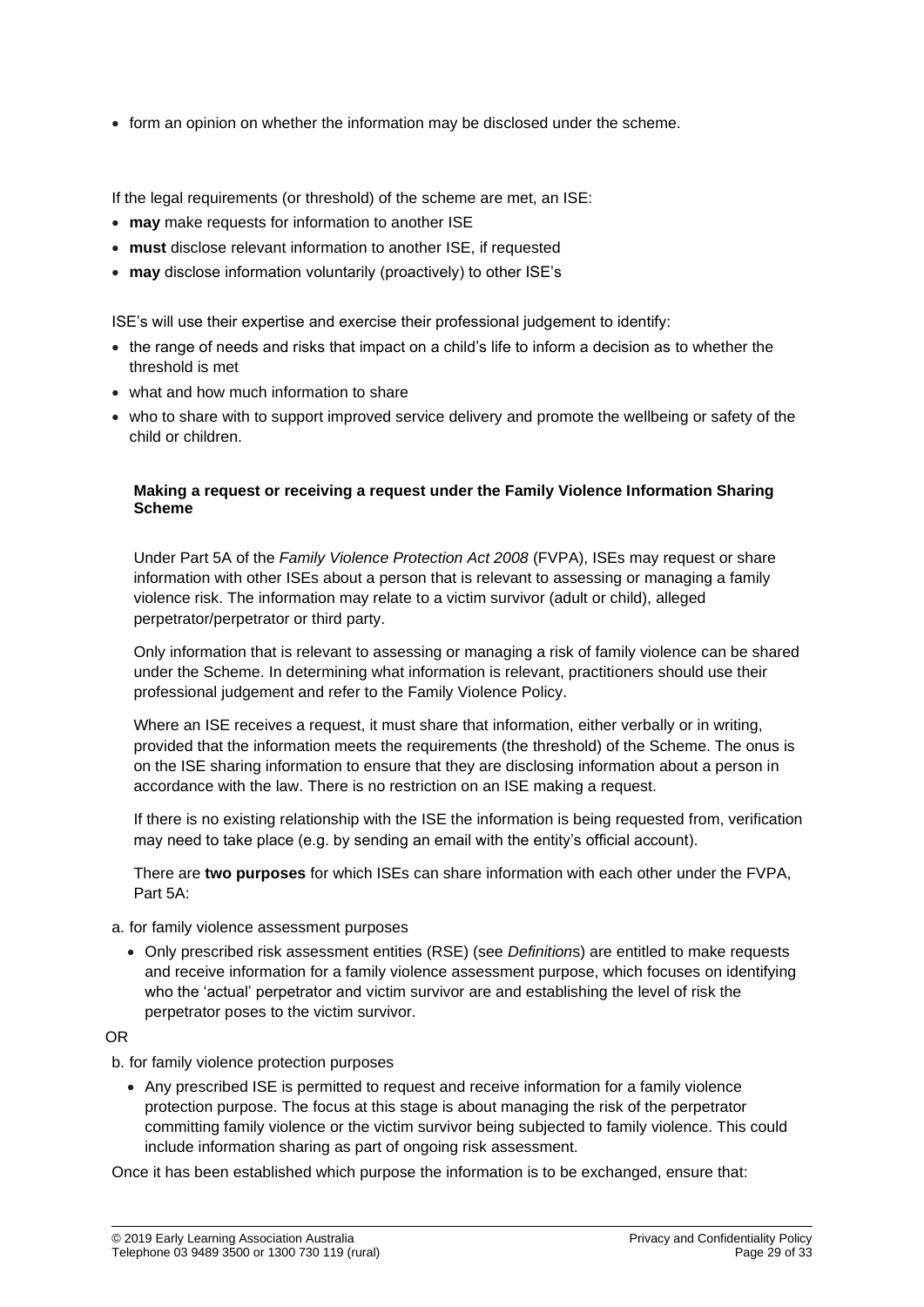• form an opinion on whether the information may be disclosed under the scheme.

If the legal requirements (or threshold) of the scheme are met, an ISE:

- **may** make requests for information to another ISE
- **must** disclose relevant information to another ISE, if requested
- **may** disclose information voluntarily (proactively) to other ISE's

ISE's will use their expertise and exercise their professional judgement to identify:

- the range of needs and risks that impact on a child's life to inform a decision as to whether the threshold is met
- what and how much information to share
- who to share with to support improved service delivery and promote the wellbeing or safety of the child or children.

#### **Making a request or receiving a request under the Family Violence Information Sharing Scheme**

Under Part 5A of the *Family Violence Protection Act 2008* (FVPA), ISEs may request or share information with other ISEs about a person that is relevant to assessing or managing a family violence risk. The information may relate to a victim survivor (adult or child), alleged perpetrator/perpetrator or third party.

Only information that is relevant to assessing or managing a risk of family violence can be shared under the Scheme. In determining what information is relevant, practitioners should use their professional judgement and refer to the Family Violence Policy.

Where an ISE receives a request, it must share that information, either verbally or in writing, provided that the information meets the requirements (the threshold) of the Scheme. The onus is on the ISE sharing information to ensure that they are disclosing information about a person in accordance with the law. There is no restriction on an ISE making a request.

If there is no existing relationship with the ISE the information is being requested from, verification may need to take place (e.g. by sending an email with the entity's official account).

There are **two purposes** for which ISEs can share information with each other under the FVPA, Part 5A:

#### a. for family violence assessment purposes

• Only prescribed risk assessment entities (RSE) (see *Definition*s) are entitled to make requests and receive information for a family violence assessment purpose, which focuses on identifying who the 'actual' perpetrator and victim survivor are and establishing the level of risk the perpetrator poses to the victim survivor.

#### OR

b. for family violence protection purposes

• Any prescribed ISE is permitted to request and receive information for a family violence protection purpose. The focus at this stage is about managing the risk of the perpetrator committing family violence or the victim survivor being subjected to family violence. This could include information sharing as part of ongoing risk assessment.

Once it has been established which purpose the information is to be exchanged, ensure that: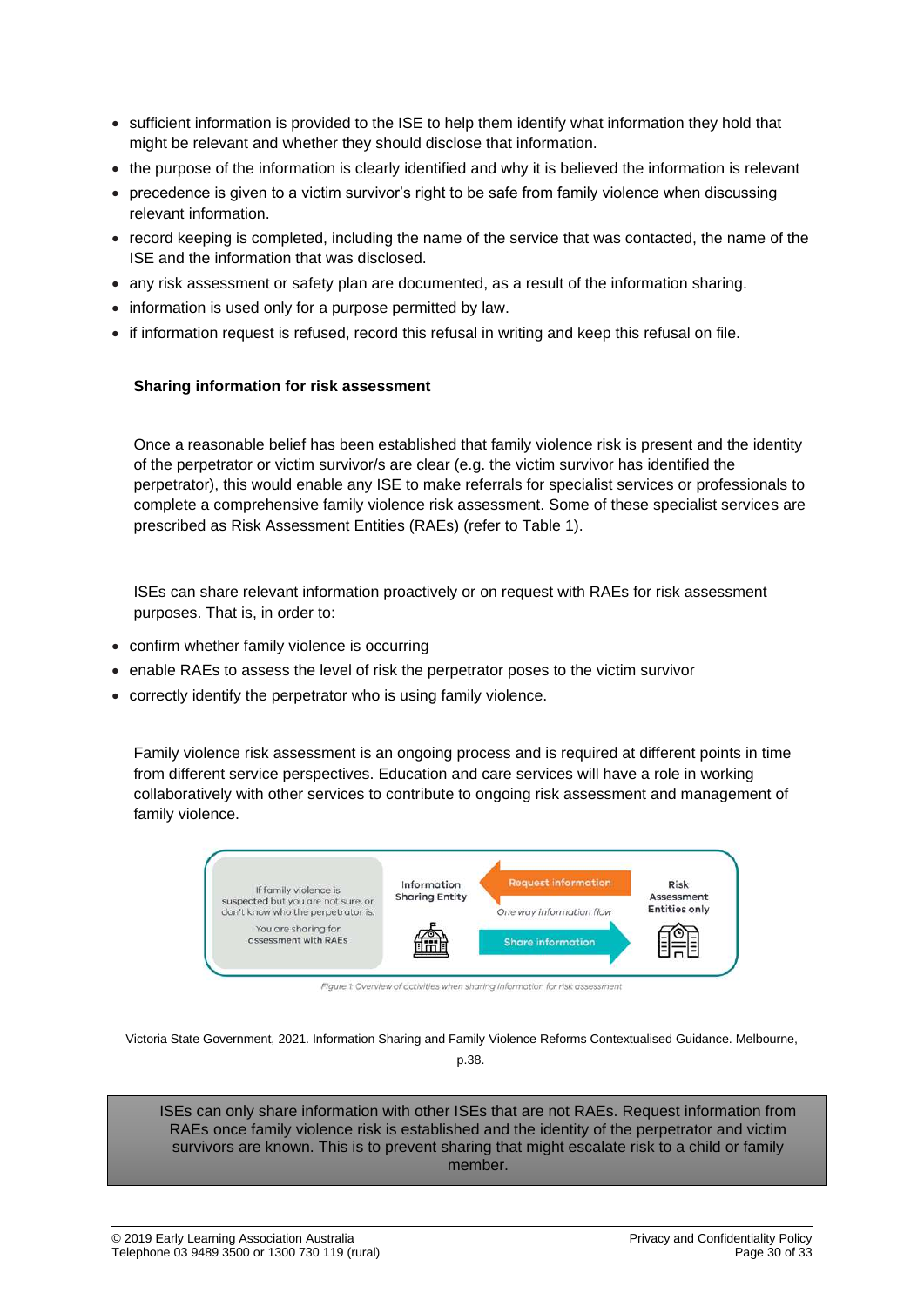- sufficient information is provided to the ISE to help them identify what information they hold that might be relevant and whether they should disclose that information.
- the purpose of the information is clearly identified and why it is believed the information is relevant
- precedence is given to a victim survivor's right to be safe from family violence when discussing relevant information.
- record keeping is completed, including the name of the service that was contacted, the name of the ISE and the information that was disclosed.
- any risk assessment or safety plan are documented, as a result of the information sharing.
- information is used only for a purpose permitted by law.
- if information request is refused, record this refusal in writing and keep this refusal on file.

#### **Sharing information for risk assessment**

Once a reasonable belief has been established that family violence risk is present and the identity of the perpetrator or victim survivor/s are clear (e.g. the victim survivor has identified the perpetrator), this would enable any ISE to make referrals for specialist services or professionals to complete a comprehensive family violence risk assessment. Some of these specialist services are prescribed as Risk Assessment Entities (RAEs) (refer to Table 1).

ISEs can share relevant information proactively or on request with RAEs for risk assessment purposes. That is, in order to:

- confirm whether family violence is occurring
- enable RAEs to assess the level of risk the perpetrator poses to the victim survivor
- correctly identify the perpetrator who is using family violence.

Family violence risk assessment is an ongoing process and is required at different points in time from different service perspectives. Education and care services will have a role in working collaboratively with other services to contribute to ongoing risk assessment and management of family violence.



Figure 1: Overview of activities when sharing information for risk assessment

Victoria State Government, 2021. Information Sharing and Family Violence Reforms Contextualised Guidance. Melbourne, p.38.

ISEs can only share information with other ISEs that are not RAEs. Request information from RAEs once family violence risk is established and the identity of the perpetrator and victim survivors are known. This is to prevent sharing that might escalate risk to a child or family member.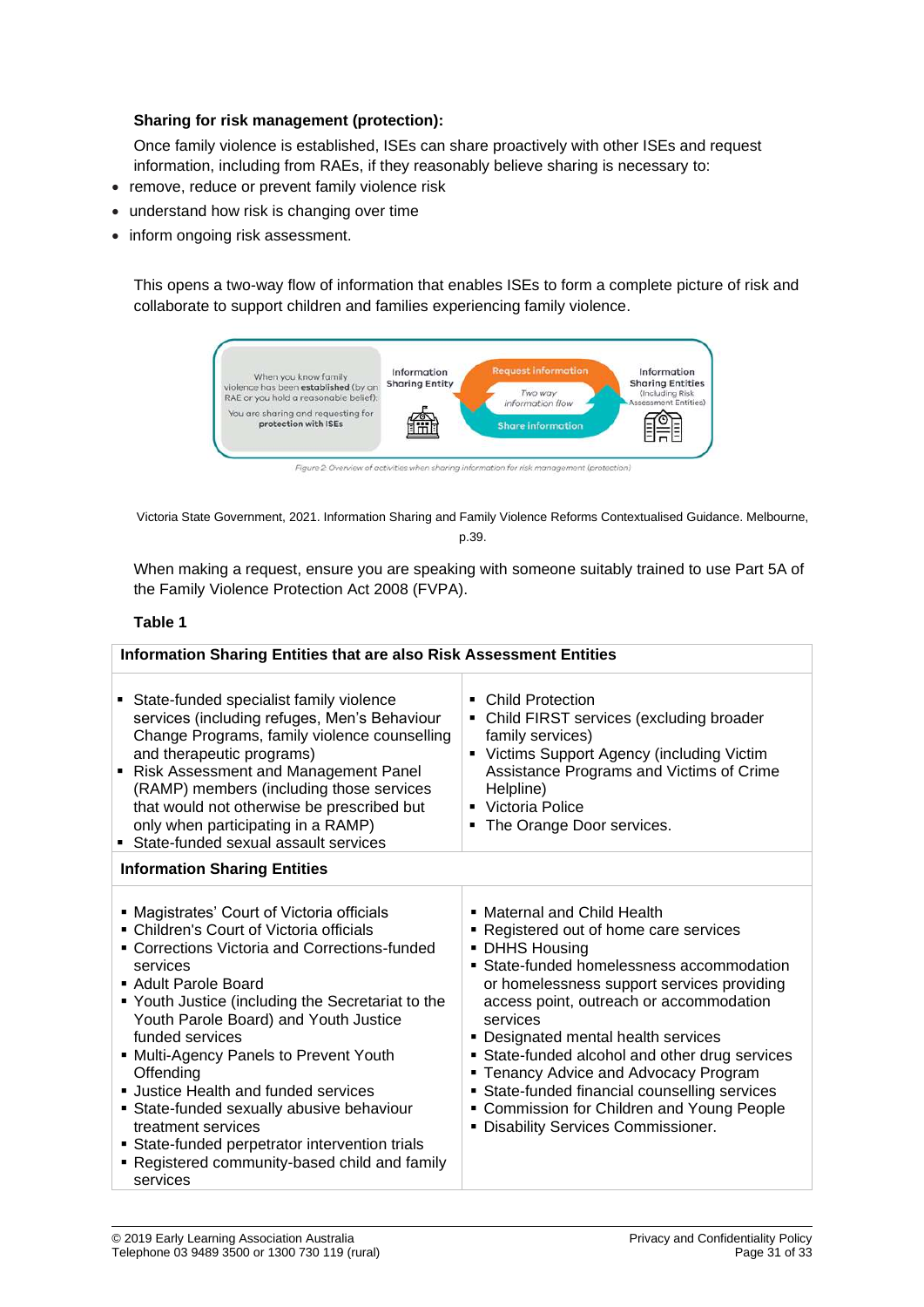#### **Sharing for risk management (protection):**

Once family violence is established, ISEs can share proactively with other ISEs and request information, including from RAEs, if they reasonably believe sharing is necessary to:

- remove, reduce or prevent family violence risk
- understand how risk is changing over time
- inform ongoing risk assessment.

This opens a two-way flow of information that enables ISEs to form a complete picture of risk and collaborate to support children and families experiencing family violence.



Victoria State Government, 2021. Information Sharing and Family Violence Reforms Contextualised Guidance. Melbourne, p.39.

When making a request, ensure you are speaking with someone suitably trained to use Part 5A of the Family Violence Protection Act 2008 (FVPA).

#### **Table 1**

| <b>Information Sharing Entities that are also Risk Assessment Entities</b>                                                                                                                                                                                                                                                                                                                                                                                                                                                                                                    |                                                                                                                                                                                                                                                                                                                                                                                                                                                                                                                |  |  |
|-------------------------------------------------------------------------------------------------------------------------------------------------------------------------------------------------------------------------------------------------------------------------------------------------------------------------------------------------------------------------------------------------------------------------------------------------------------------------------------------------------------------------------------------------------------------------------|----------------------------------------------------------------------------------------------------------------------------------------------------------------------------------------------------------------------------------------------------------------------------------------------------------------------------------------------------------------------------------------------------------------------------------------------------------------------------------------------------------------|--|--|
| State-funded specialist family violence<br>services (including refuges, Men's Behaviour<br>Change Programs, family violence counselling<br>and therapeutic programs)<br>Risk Assessment and Management Panel<br>(RAMP) members (including those services<br>that would not otherwise be prescribed but<br>only when participating in a RAMP)<br>State-funded sexual assault services                                                                                                                                                                                          | <b>Child Protection</b><br>٠<br>Child FIRST services (excluding broader<br>family services)<br>• Victims Support Agency (including Victim<br>Assistance Programs and Victims of Crime<br>Helpline)<br>• Victoria Police<br>• The Orange Door services.                                                                                                                                                                                                                                                         |  |  |
| <b>Information Sharing Entities</b>                                                                                                                                                                                                                                                                                                                                                                                                                                                                                                                                           |                                                                                                                                                                                                                                                                                                                                                                                                                                                                                                                |  |  |
| • Magistrates' Court of Victoria officials<br>• Children's Court of Victoria officials<br>• Corrections Victoria and Corrections-funded<br>services<br>• Adult Parole Board<br>• Youth Justice (including the Secretariat to the<br>Youth Parole Board) and Youth Justice<br>funded services<br>• Multi-Agency Panels to Prevent Youth<br>Offending<br>• Justice Health and funded services<br>• State-funded sexually abusive behaviour<br>treatment services<br>• State-funded perpetrator intervention trials<br>• Registered community-based child and family<br>services | • Maternal and Child Health<br>Registered out of home care services<br>• DHHS Housing<br>• State-funded homelessness accommodation<br>or homelessness support services providing<br>access point, outreach or accommodation<br>services<br>• Designated mental health services<br>State-funded alcohol and other drug services<br><b>Tenancy Advice and Advocacy Program</b><br>State-funded financial counselling services<br>• Commission for Children and Young People<br>Disability Services Commissioner. |  |  |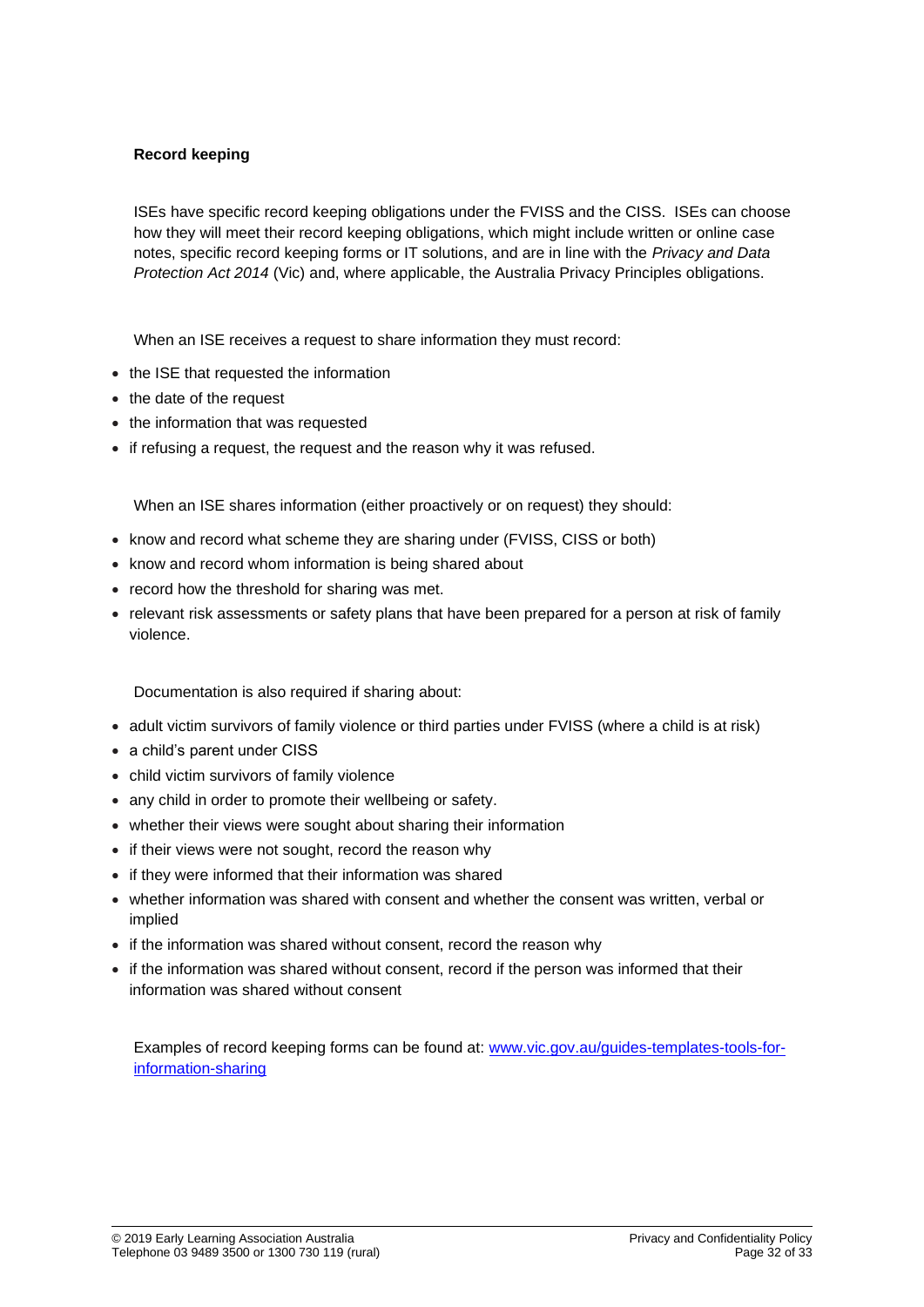## **Record keeping**

ISEs have specific record keeping obligations under the FVISS and the CISS. ISEs can choose how they will meet their record keeping obligations, which might include written or online case notes, specific record keeping forms or IT solutions, and are in line with the *Privacy and Data Protection Act 2014* (Vic) and, where applicable, the Australia Privacy Principles obligations.

When an ISE receives a request to share information they must record:

- the ISE that requested the information
- the date of the request
- the information that was requested
- if refusing a request, the request and the reason why it was refused.

When an ISE shares information (either proactively or on request) they should:

- know and record what scheme they are sharing under (FVISS, CISS or both)
- know and record whom information is being shared about
- record how the threshold for sharing was met.
- relevant risk assessments or safety plans that have been prepared for a person at risk of family violence.

Documentation is also required if sharing about:

- adult victim survivors of family violence or third parties under FVISS (where a child is at risk)
- a child's parent under CISS
- child victim survivors of family violence
- any child in order to promote their wellbeing or safety.
- whether their views were sought about sharing their information
- if their views were not sought, record the reason why
- if they were informed that their information was shared
- whether information was shared with consent and whether the consent was written, verbal or implied
- if the information was shared without consent, record the reason why
- if the information was shared without consent, record if the person was informed that their information was shared without consent

Examples of record keeping forms can be found at: [www.vic.gov.au/guides-templates-tools-for](http://www.vic.gov.au/guides-templates-tools-for-information-sharing)[information-sharing](http://www.vic.gov.au/guides-templates-tools-for-information-sharing)